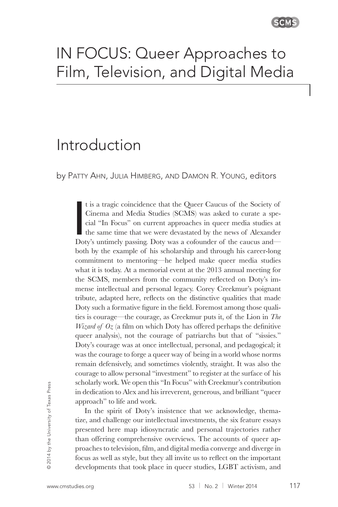## IN FOCUS: Queer Approaches to Film, Television, and Digital Media

#### Introduction

by PATTY AHN, JULIA HIMBERG, AND DAMON R. YOUNG, editors

I<br>Do<br>he' t is a tragic coincidence that the Queer Caucus of the Society of Cinema and Media Studies (SCMS) was asked to curate a special "In Focus" on current approaches in queer media studies at the same time that we were devastated by the news of Alexander Doty's untimely passing. Doty was a cofounder of the caucus and both by the example of his scholarship and through his career-long commitment to mentoring—he helped make queer media studies what it is today. At a memorial event at the 2013 annual meeting for the SCMS, members from the community reflected on Doty's immense intellectual and personal legacy. Corey Creekmur's poignant tribute, adapted here, reflects on the distinctive qualities that made Doty such a formative figure in the field. Foremost among those qualities is courage—the courage, as Creekmur puts it, of the Lion in *The Wizard of*  $Oz$  (a film on which Doty has offered perhaps the definitive queer analysis), not the courage of patriarchs but that of "sissies." Doty's courage was at once intellectual, personal, and pedagogical; it was the courage to forge a queer way of being in a world whose norms remain defensively, and sometimes violently, straight. It was also the courage to allow personal "investment" to register at the surface of his scholarly work. We open this "In Focus" with Creekmur's contribution in dedication to Alex and his irreverent, generous, and brilliant "queer approach" to life and work.

scholarly work. We open this in rocus with Creekmur's contribution<br>in dedication to Alex and his irreverent, generous, and brilliant "queer<br>approach" to life and work.<br>In the spirit of Doty's insistence that we acknowledg In the spirit of Doty's insistence that we acknowledge, thematize, and challenge our intellectual investments, the six feature essays presented here map idiosyncratic and personal trajectories rather than offering comprehensive overviews. The accounts of queer approaches to television, film, and digital media converge and diverge in focus as well as style, but they all invite us to reflect on the important developments that took place in queer studies, LGBT activism, and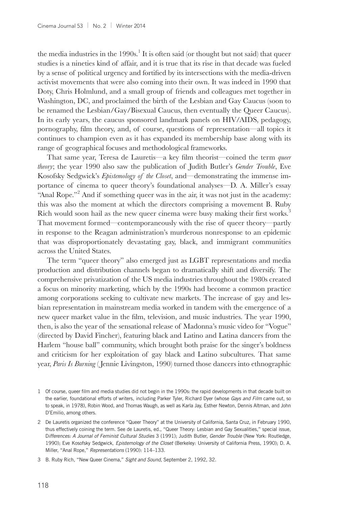the media industries in the 1990s.<sup>1</sup> It is often said (or thought but not said) that queer studies is a nineties kind of affair, and it is true that its rise in that decade was fueled by a sense of political urgency and fortified by its intersections with the media-driven activist movements that were also coming into their own. It was indeed in 1990 that Doty, Chris Holmlund, and a small group of friends and colleagues met together in Washington, DC, and proclaimed the birth of the Lesbian and Gay Caucus (soon to be renamed the Lesbian/Gay/Bisexual Caucus, then eventually the Queer Caucus). In its early years, the caucus sponsored landmark panels on HIV/AIDS, pedagogy, pornography, film theory, and, of course, questions of representation—all topics it continues to champion even as it has expanded its membership base along with its range of geographical focuses and methodological frameworks.

That same year, Teresa de Lauretis—a key film theorist—coined the term *queer theory*; the year 1990 also saw the publication of Judith Butler's *Gender Trouble*, Eve Kosofsky Sedgwick's *Epistemology of the Closet*, and—demonstrating the immense importance of cinema to queer theory's foundational analyses—D. A. Miller's essay "Anal Rope."<sup>2</sup> And if something queer was in the air, it was not just in the academy: this was also the moment at which the directors comprising a movement B. Ruby Rich would soon hail as the new queer cinema were busy making their first works.<sup>3</sup> That movement formed—contemporaneously with the rise of queer theory—partly in response to the Reagan administration's murderous nonresponse to an epidemic that was disproportionately devastating gay, black, and immigrant communities across the United States.

The term "queer theory" also emerged just as LGBT representations and media production and distribution channels began to dramatically shift and diversify. The comprehensive privatization of the US media industries throughout the 1980s created a focus on minority marketing, which by the 1990s had become a common practice among corporations seeking to cultivate new markets. The increase of gay and lesbian representation in mainstream media worked in tandem with the emergence of a new queer market value in the film, television, and music industries. The year 1990, then, is also the year of the sensational release of Madonna's music video for "Vogue" (directed by David Fincher), featuring black and Latino and Latina dancers from the Harlem "house ball" community, which brought both praise for the singer's boldness and criticism for her exploitation of gay black and Latino subcultures. That same year, *Paris Is Burning* ( Jennie Livingston, 1990) turned those dancers into ethnographic

<sup>1</sup> Of course, queer film and media studies did not begin in the 1990s: the rapid developments in that decade built on the earlier, foundational efforts of writers, including Parker Tyler, Richard Dyer (whose *Gays and Film* came out, so to speak, in 1978), Robin Wood, and Thomas Waugh, as well as Karla Jay, Esther Newton, Dennis Altman, and John D'Emilio, among others.

<sup>2</sup> De Lauretis organized the conference "Queer Theory" at the University of California, Santa Cruz, in February 1990, thus effectively coining the term. See de Lauretis, ed., "Queer Theory: Lesbian and Gay Sexualities," special issue, D*ifferences: A Journal of Feminist Cultural Studies* 3 (1991); Judith Butler, *Gender Trouble* (New York: Routledge, 1990); Eve Kosofsky Sedgwick, *Epistemology of the Closet* (Berkeley: University of California Press, 1990); D. A. Miller, "Anal Rope," *Representations* (1990): 114–133.

<sup>3</sup> B. Ruby Rich, "New Queer Cinema," *Sight and Sound*, September 2, 1992, 32.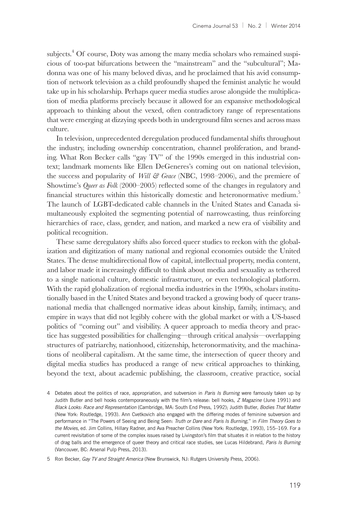subjects.<sup>4</sup> Of course, Doty was among the many media scholars who remained suspicious of too-pat bifurcations between the "mainstream" and the "subcultural"; Madonna was one of his many beloved divas, and he proclaimed that his avid consumption of network television as a child profoundly shaped the feminist analytic he would take up in his scholarship. Perhaps queer media studies arose alongside the multiplication of media platforms precisely because it allowed for an expansive methodological approach to thinking about the vexed, often contradictory range of representations that were emerging at dizzying speeds both in underground film scenes and across mass culture.

In television, unprecedented deregulation produced fundamental shifts throughout the industry, including ownership concentration, channel proliferation, and branding. What Ron Becker calls "gay TV" of the 1990s emerged in this industrial context; landmark moments like Ellen DeGeneres's coming out on national television, the success and popularity of *Will & Grace* (NBC, 1998–2006), and the premiere of Showtime's *Queer as Folk* (2000–2005) reflected some of the changes in regulatory and financial structures within this historically domestic and heteronormative medium.<sup>5</sup> The launch of LGBT-dedicated cable channels in the United States and Canada simultaneously exploited the segmenting potential of narrowcasting, thus reinforcing hierarchies of race, class, gender, and nation, and marked a new era of visibility and political recognition.

These same deregulatory shifts also forced queer studies to reckon with the globalization and digitization of many national and regional economies outside the United States. The dense multidirectional flow of capital, intellectual property, media content, and labor made it increasingly difficult to think about media and sexuality as tethered to a single national culture, domestic infrastructure, or even technological platform. With the rapid globalization of regional media industries in the 1990s, scholars institutionally based in the United States and beyond tracked a growing body of queer transnational media that challenged normative ideas about kinship, family, intimacy, and empire in ways that did not legibly cohere with the global market or with a US-based politics of "coming out" and visibility. A queer approach to media theory and practice has suggested possibilities for challenging—through critical analysis—overlapping structures of patriarchy, nationhood, citizenship, heteronormativity, and the machinations of neoliberal capitalism. At the same time, the intersection of queer theory and digital media studies has produced a range of new critical approaches to thinking, beyond the text, about academic publishing, the classroom, creative practice, social

<sup>4</sup> Debates about the politics of race, appropriation, and subversion in *Paris Is Burning* were famously taken up by Judith Butler and bell hooks contemporaneously with the film's release: bell hooks, *Z Magazine* (June 1991) and *Black Looks: Race and Representation* (Cambridge, MA: South End Press, 1992); Judith Butler, *Bodies That Matter* (New York: Routledge, 1993). Ann Cvetkovich also engaged with the differing modes of feminine subversion and performance in "The Powers of Seeing and Being Seen: *Truth or Dare* and *Paris Is Burning*," in *Film Theory Goes to the Movies*, ed. Jim Collins, Hillary Radner, and Ava Preacher Collins (New York: Routledge, 1993), 155–169. For a current revisitation of some of the complex issues raised by Livingston's film that situates it in relation to the history of drag balls and the emergence of queer theory and critical race studies, see Lucas Hildebrand, *Paris Is Burning*  (Vancouver, BC: Arsenal Pulp Press, 2013).

<sup>5</sup> Ron Becker, *Gay TV and Straight America* (New Brunswick, NJ: Rutgers University Press, 2006).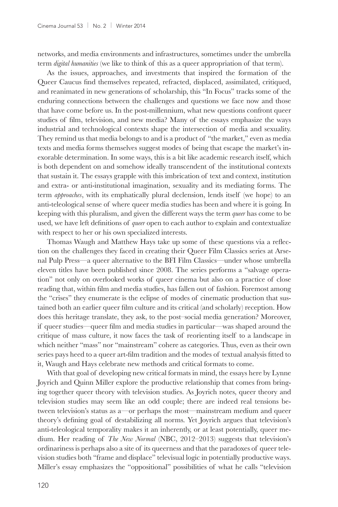networks, and media environments and infrastructures, sometimes under the umbrella term *digital humanities* (we like to think of this as a queer appropriation of that term).

As the issues, approaches, and investments that inspired the formation of the Queer Caucus find themselves repeated, refracted, displaced, assimilated, critiqued, and reanimated in new generations of scholarship, this "In Focus" tracks some of the enduring connections between the challenges and questions we face now and those that have come before us. In the post-millennium, what new questions confront queer studies of film, television, and new media? Many of the essays emphasize the ways industrial and technological contexts shape the intersection of media and sexuality. They remind us that media belongs to and is a product of "the market," even as media texts and media forms themselves suggest modes of being that escape the market's inexorable determination. In some ways, this is a bit like academic research itself, which is both dependent on and somehow ideally transcendent of the institutional contexts that sustain it. The essays grapple with this imbrication of text and context, institution and extra- or anti-institutional imagination, sexuality and its mediating forms. The term *approaches*, with its emphatically plural declension, lends itself (we hope) to an anti-teleological sense of where queer media studies has been and where it is going. In keeping with this pluralism, and given the different ways the term *queer* has come to be used, we have left definitions of *queer* open to each author to explain and contextualize with respect to her or his own specialized interests.

Thomas Waugh and Matthew Hays take up some of these questions via a reflection on the challenges they faced in creating their Queer Film Classics series at Arsenal Pulp Press—a queer alternative to the BFI Film Classics—under whose umbrella eleven titles have been published since 2008. The series performs a "salvage operation" not only on overlooked works of queer cinema but also on a practice of close reading that, within film and media studies, has fallen out of fashion. Foremost among the "crises" they enumerate is the eclipse of modes of cinematic production that sustained both an earlier queer film culture and its critical (and scholarly) reception. How does this heritage translate, they ask, to the post–social media generation? Moreover, if queer studies—queer film and media studies in particular—was shaped around the critique of mass culture, it now faces the task of reorienting itself to a landscape in which neither "mass" nor "mainstream" cohere as categories. Thus, even as their own series pays heed to a queer art-film tradition and the modes of textual analysis fitted to it, Waugh and Hays celebrate new methods and critical formats to come.

With that goal of developing new critical formats in mind, the essays here by Lynne Joyrich and Quinn Miller explore the productive relationship that comes from bringing together queer theory with television studies. As Joyrich notes, queer theory and television studies may seem like an odd couple; there are indeed real tensions between television's status as a—or perhaps the most—mainstream medium and queer theory's defining goal of destabilizing all norms. Yet Joyrich argues that television's anti-teleological temporality makes it an inherently, or at least potentially, queer medium. Her reading of *The New Normal* (NBC, 2012–2013) suggests that television's ordinariness is perhaps also a site of its queerness and that the paradoxes of queer television studies both "frame and displace" televisual logic in potentially productive ways. Miller's essay emphasizes the "oppositional" possibilities of what he calls "television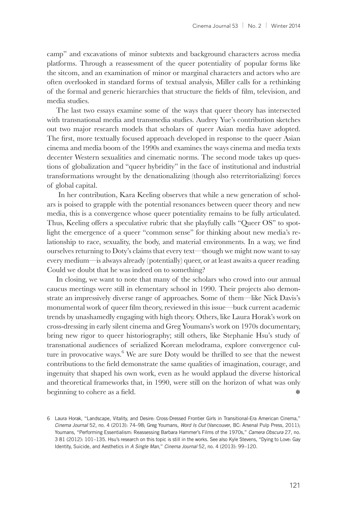camp" and excavations of minor subtexts and background characters across media platforms. Through a reassessment of the queer potentiality of popular forms like the sitcom, and an examination of minor or marginal characters and actors who are often overlooked in standard forms of textual analysis, Miller calls for a rethinking of the formal and generic hierarchies that structure the fields of film, television, and media studies.

The last two essays examine some of the ways that queer theory has intersected with transnational media and transmedia studies. Audrey Yue's contribution sketches out two major research models that scholars of queer Asian media have adopted. The first, more textually focused approach developed in response to the queer Asian cinema and media boom of the 1990s and examines the ways cinema and media texts decenter Western sexualities and cinematic norms. The second mode takes up questions of globalization and "queer hybridity" in the face of institutional and industrial transformations wrought by the denationalizing (though also reterritorializing) forces of global capital.

 In her contribution, Kara Keeling observes that while a new generation of scholars is poised to grapple with the potential resonances between queer theory and new media, this is a convergence whose queer potentiality remains to be fully articulated. Thus, Keeling offers a speculative rubric that she playfully calls "Queer OS" to spotlight the emergence of a queer "common sense" for thinking about new media's relationship to race, sexuality, the body, and material environments. In a way, we find ourselves returning to Doty's claims that every text—though we might now want to say every medium—is always already (potentially) queer, or at least awaits a queer reading. Could we doubt that he was indeed on to something?

In closing, we want to note that many of the scholars who crowd into our annual caucus meetings were still in elementary school in 1990. Their projects also demonstrate an impressively diverse range of approaches. Some of them—like Nick Davis's monumental work of queer film theory, reviewed in this issue—buck current academic trends by unashamedly engaging with high theory. Others, like Laura Horak's work on cross-dressing in early silent cinema and Greg Youmans's work on 1970s documentary, bring new rigor to queer historiography; still others, like Stephanie Hsu's study of transnational audiences of serialized Korean melodrama, explore convergence culture in provocative ways.<sup>6</sup> We are sure Doty would be thrilled to see that the newest contributions to the field demonstrate the same qualities of imagination, courage, and ingenuity that shaped his own work, even as he would applaud the diverse historical and theoretical frameworks that, in 1990, were still on the horizon of what was only beginning to cohere as a field.  $\ast$ 

<sup>6</sup> Laura Horak, "Landscape, Vitality, and Desire: Cross-Dressed Frontier Girls in Transitional-Era American Cinema," *Cinema Journal* 52, no. 4 (2013): 74–98; Greg Youmans, *Word Is Out* (Vancouver, BC: Arsenal Pulp Press, 2011); Youmans, "Performing Essentialism: Reassessing Barbara Hammer's Films of the 1970s," *Camera Obscura* 27, no. 3 81 (2012): 101–135. Hsu's research on this topic is still in the works. See also Kyle Stevens, "Dying to Love: Gay Identity, Suicide, and Aesthetics in *A Single Man*," *Cinema Journal* 52, no. 4 (2013): 99–120.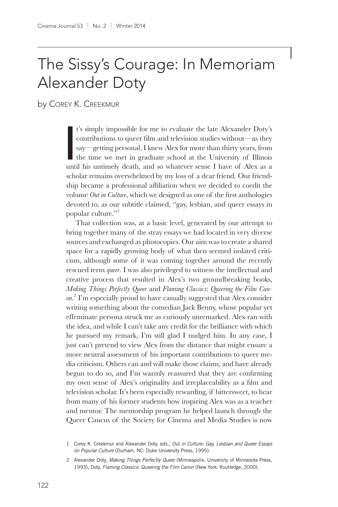## The Sissy's Courage: In Memoriam Alexander Doty

by Corey K. Creekmur

I<br>I<br>I<br>I<br>I<br>I<br>I t's simply impossible for me to evaluate the late Alexander Doty's contributions to queer film and television studies without—as they say—getting personal. I knew Alex for more than thirty years, from the time we met in graduate school at the University of Illinois until his untimely death, and so whatever sense I have of Alex as a scholar remains overwhelmed by my loss of a dear friend. Our friendship became a professional affiliation when we decided to coedit the volume *Out in Culture*, which we designed as one of the first anthologies devoted to, as our subtitle claimed, "gay, lesbian, and queer essays in popular culture."<sup>1</sup>

That collection was, at a basic level, generated by our attempt to bring together many of the stray essays we had located in very diverse sources and exchanged as photocopies. Our aim was to create a shared space for a rapidly growing body of what then seemed isolated criticism, although some of it was coming together around the recently rescued term *queer*. I was also privileged to witness the intellectual and creative process that resulted in Alex's two groundbreaking books, *Making Things Perfectly Queer* and *Flaming Classics*: *Queering the Film Canon*. 2 I'm especially proud to have casually suggested that Alex consider writing something about the comedian Jack Benny, whose popular yet effeminate persona struck me as curiously unremarked. Alex ran with the idea, and while I can't take any credit for the brilliance with which he pursued my remark, I'm still glad I nudged him. In any case, I just can't pretend to view Alex from the distance that might ensure a more neutral assessment of his important contributions to queer media criticism. Others can and will make those claims, and have already begun to do so, and I'm warmly reassured that they are confirming my own sense of Alex's originality and irreplaceability as a film and television scholar. It's been especially rewarding, if bittersweet, to hear from many of his former students how inspiring Alex was as a teacher and mentor. The mentorship program he helped launch through the Queer Caucus of the Society for Cinema and Media Studies is now

<sup>1</sup> Corey K. Creekmur and Alexander Doty, eds., *Out in Culture: Gay, Lesbian and Queer Essays on Popular Culture* (Durham, NC: Duke University Press, 1995).

<sup>2</sup> Alexander Doty, *Making Things Perfectly Queer* (Minneapolis: University of Minnesota Press, 1993); Doty, *Flaming Classics*: *Queering the Film Canon* (New York: Routledge, 2000).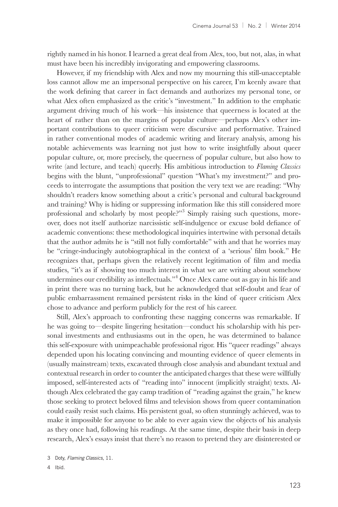rightly named in his honor. I learned a great deal from Alex, too, but not, alas, in what must have been his incredibly invigorating and empowering classrooms.

However, if my friendship with Alex and now my mourning this still-unacceptable loss cannot allow me an impersonal perspective on his career, I'm keenly aware that the work defining that career in fact demands and authorizes my personal tone, or what Alex often emphasized as the critic's "investment." In addition to the emphatic argument driving much of his work—his insistence that queerness is located at the heart of rather than on the margins of popular culture—perhaps Alex's other important contributions to queer criticism were discursive and performative. Trained in rather conventional modes of academic writing and literary analysis, among his notable achievements was learning not just how to write insightfully about queer popular culture, or, more precisely, the queerness of popular culture, but also how to write (and lecture, and teach) queerly. His ambitious introduction to *Flaming Classics* begins with the blunt, "unprofessional" question "What's my investment?" and proceeds to interrogate the assumptions that position the very text we are reading: "Why shouldn't readers know something about a critic's personal and cultural background and training? Why is hiding or suppressing information like this still considered more professional and scholarly by most people?"<sup>3</sup> Simply raising such questions, moreover, does not itself authorize narcissistic self-indulgence or excuse bold defiance of academic conventions: these methodological inquiries intertwine with personal details that the author admits he is "still not fully comfortable" with and that he worries may be "cringe-inducingly autobiographical in the context of a 'serious' film book." He recognizes that, perhaps given the relatively recent legitimation of film and media studies, "it's as if showing too much interest in what we are writing about somehow undermines our credibility as intellectuals."<sup>4</sup> Once Alex came out as gay in his life and in print there was no turning back, but he acknowledged that self-doubt and fear of public embarrassment remained persistent risks in the kind of queer criticism Alex chose to advance and perform publicly for the rest of his career.

Still, Alex's approach to confronting these nagging concerns was remarkable. If he was going to—despite lingering hesitation—conduct his scholarship with his personal investments and enthusiasms out in the open, he was determined to balance this self-exposure with unimpeachable professional rigor. His "queer readings" always depended upon his locating convincing and mounting evidence of queer elements in (usually mainstream) texts, excavated through close analysis and abundant textual and contextual research in order to counter the anticipated charges that these were willfully imposed, self-interested acts of "reading into" innocent (implicitly straight) texts. Although Alex celebrated the gay camp tradition of "reading against the grain," he knew those seeking to protect beloved films and television shows from queer contamination could easily resist such claims. His persistent goal, so often stunningly achieved, was to make it impossible for anyone to be able to ever again view the objects of his analysis as they once had, following his readings. At the same time, despite their basis in deep research, Alex's essays insist that there's no reason to pretend they are disinterested or

4 Ibid.

<sup>3</sup> Doty, *Flaming Classics*, 11.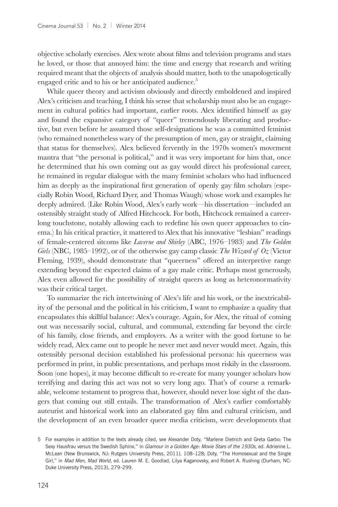objective scholarly exercises. Alex wrote about films and television programs and stars he loved, or those that annoyed him: the time and energy that research and writing required meant that the objects of analysis should matter, both to the unapologetically engaged critic and to his or her anticipated audience.<sup>5</sup>

While queer theory and activism obviously and directly emboldened and inspired Alex's criticism and teaching, I think his sense that scholarship must also be an engagement in cultural politics had important, earlier roots. Alex identified himself as gay and found the expansive category of "queer" tremendously liberating and productive, but even before he assumed those self-designations he was a committed feminist (who remained nonetheless wary of the presumption of men, gay or straight, claiming that status for themselves). Alex believed fervently in the 1970s women's movement mantra that "the personal is political," and it was very important for him that, once he determined that his own coming out as gay would direct his professional career, he remained in regular dialogue with the many feminist scholars who had influenced him as deeply as the inspirational first generation of openly gay film scholars (especially Robin Wood, Richard Dyer, and Thomas Waugh) whose work and examples he deeply admired. (Like Robin Wood, Alex's early work—his dissertation—included an ostensibly straight study of Alfred Hitchcock. For both, Hitchcock remained a careerlong touchstone, notably allowing each to redefine his own queer approaches to cinema.) In his critical practice, it mattered to Alex that his innovative "lesbian" readings of female-centered sitcoms like *Laverne and Shirley* (ABC, 1976–1983) and *The Golden Girls* (NBC, 1985–1992), or of the otherwise gay camp classic *The Wizard of Oz* (Victor Fleming, 1939), should demonstrate that "queerness" offered an interpretive range extending beyond the expected claims of a gay male critic. Perhaps most generously, Alex even allowed for the possibility of straight queers as long as heteronormativity was their critical target.

To summarize the rich intertwining of Alex's life and his work, or the inextricability of the personal and the political in his criticism, I want to emphasize a quality that encapsulates this skillful balance: Alex's courage. Again, for Alex, the ritual of coming out was necessarily social, cultural, and communal, extending far beyond the circle of his family, close friends, and employers. As a writer with the good fortune to be widely read, Alex came out to people he never met and never would meet. Again, this ostensibly personal decision established his professional persona: his queerness was performed in print, in public presentations, and perhaps most riskily in the classroom. Soon (one hopes), it may become difficult to re-create for many younger scholars how terrifying and daring this act was not so very long ago. That's of course a remarkable, welcome testament to progress that, however, should never lose sight of the dangers that coming out still entails. The transformation of Alex's earlier comfortably auteurist and historical work into an elaborated gay film and cultural criticism, and the development of an even broader queer media criticism, were developments that

<sup>5</sup> For examples in addition to the texts already cited, see Alexander Doty, "Marlene Dietrich and Greta Garbo: The Sexy Hausfrau versus the Swedish Sphinx," in *Glamour in a Golden Age: Movie Stars of the 1930s*, ed. Adrienne L. McLean (New Brunswick, NJ: Rutgers University Press, 2011), 108–128; Doty, "The Homosexual and the Single Girl," in *Mad Men, Mad World*, ed. Lauren M. E. Goodlad, Lilya Kaganovsky, and Robert A. Rushing (Durham, NC: Duke University Press, 2013), 279–299.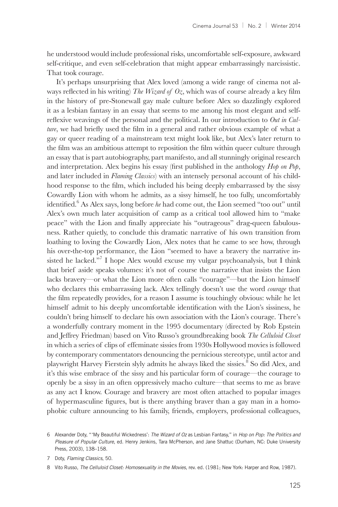he understood would include professional risks, uncomfortable self-exposure, awkward self-critique, and even self-celebration that might appear embarrassingly narcissistic. That took courage.

It's perhaps unsurprising that Alex loved (among a wide range of cinema not always reflected in his writing) *The Wizard of Oz*, which was of course already a key film in the history of pre-Stonewall gay male culture before Alex so dazzlingly explored it as a lesbian fantasy in an essay that seems to me among his most elegant and selfreflexive weavings of the personal and the political. In our introduction to *Out in Culture*, we had briefly used the film in a general and rather obvious example of what a gay or queer reading of a mainstream text might look like, but Alex's later return to the film was an ambitious attempt to reposition the film within queer culture through an essay that is part autobiography, part manifesto, and all stunningly original research and interpretation. Alex begins his essay (first published in the anthology *Hop on Pop*, and later included in *Flaming Classics*) with an intensely personal account of his childhood response to the film, which included his being deeply embarrassed by the sissy Cowardly Lion with whom he admits, as a sissy himself, he too fully, uncomfortably identified.<sup>6</sup> As Alex says, long before *he* had come out, the Lion seemed "too out" until Alex's own much later acquisition of camp as a critical tool allowed him to "make peace" with the Lion and finally appreciate his "outrageous" drag-queen fabulousness. Rather quietly, to conclude this dramatic narrative of his own transition from loathing to loving the Cowardly Lion, Alex notes that he came to see how, through his over-the-top performance, the Lion "seemed to have a bravery the narrative insisted he lacked."<sup>7</sup> I hope Alex would excuse my vulgar psychoanalysis, but I think that brief aside speaks volumes: it's not of course the narrative that insists the Lion lacks bravery—or what the Lion more often calls "courage"—but the Lion himself who declares this embarrassing lack. Alex tellingly doesn't use the word *courage* that the film repeatedly provides, for a reason I assume is touchingly obvious: while he let himself admit to his deeply uncomfortable identification with the Lion's sissiness, he couldn't bring himself to declare his own association with the Lion's courage. There's a wonderfully contrary moment in the 1995 documentary (directed by Rob Epstein and Jeffrey Friedman) based on Vito Russo's groundbreaking book *The Celluloid Closet* in which a series of clips of effeminate sissies from 1930s Hollywood movies is followed by contemporary commentators denouncing the pernicious stereotype, until actor and playwright Harvey Fierstein slyly admits he always liked the sissies.<sup>8</sup> So did Alex, and it's this wise embrace of the sissy and his particular form of courage—the courage to openly be a sissy in an often oppressively macho culture—that seems to me as brave as any act I know. Courage and bravery are most often attached to popular images of hypermasculine figures, but is there anything braver than a gay man in a homophobic culture announcing to his family, friends, employers, professional colleagues,

<sup>6</sup> Alexander Doty, "'My Beautiful Wickedness': *The Wizard of Oz* as Lesbian Fantasy," in *Hop on Pop: The Politics and Pleasure of Popular Culture*, ed. Henry Jenkins, Tara McPherson, and Jane Shattuc (Durham, NC: Duke University Press, 2003), 138–158.

<sup>7</sup> Doty, *Flaming Classics*, 50.

<sup>8</sup> Vito Russo, *The Celluloid Closet: Homosexuality in the Movies*, rev. ed. (1981; New York: Harper and Row, 1987).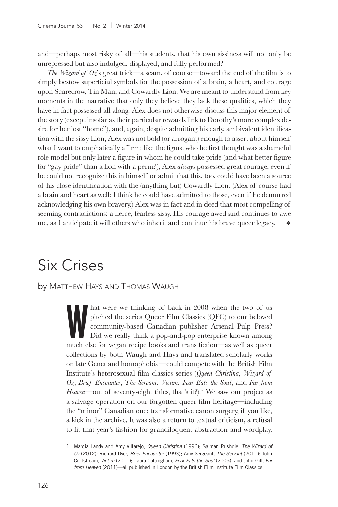and—perhaps most risky of all—his students, that his own sissiness will not only be unrepressed but also indulged, displayed, and fully performed?

*The Wizard of Oz*'s great trick—a scam, of course—toward the end of the film is to simply bestow superficial symbols for the possession of a brain, a heart, and courage upon Scarecrow, Tin Man, and Cowardly Lion. We are meant to understand from key moments in the narrative that only they believe they lack these qualities, which they have in fact possessed all along. Alex does not otherwise discuss this major element of the story (except insofar as their particular rewards link to Dorothy's more complex desire for her lost "home"), and, again, despite admitting his early, ambivalent identification with the sissy Lion, Alex was not bold (or arrogant) enough to assert about himself what I want to emphatically affirm: like the figure who he first thought was a shameful role model but only later a figure in whom he could take pride (and what better figure for "gay pride" than a lion with a perm?), Alex *always* possessed great courage, even if he could not recognize this in himself or admit that this, too, could have been a source of his close identification with the (anything but) Cowardly Lion. (Alex of course had a brain and heart as well: I think he could have admitted to those, even if he demurred acknowledging his own bravery.) Alex was in fact and in deed that most compelling of seeming contradictions: a fierce, fearless sissy. His courage awed and continues to awe me, as I anticipate it will others who inherit and continue his brave queer legacy.  $\ast$ 

### Six Crises

by Matthew Hays and Thomas Waugh

hat were we thinking of back in 2008 when the two of us<br>pitched the series Queer Film Classics (QFC) to our beloved<br>community-based Canadian publisher Arsenal Pulp Press?<br>Did we really think a pop-and-pop enterprise known hat were we thinking of back in 2008 when the two of us pitched the series Queer Film Classics (QFC) to our beloved community-based Canadian publisher Arsenal Pulp Press? Did we really think a pop-and-pop enterprise known among collections by both Waugh and Hays and translated scholarly works on late Genet and homophobia—could compete with the British Film Institute's heterosexual film classics series (*Queen Christina*, *Wizard of Oz*, *Brief Encounter*, *The Servant*, *Victim*, *Fear Eats the Soul*, and *Far from*  Heaven—out of seventy-eight titles, that's it?).<sup>1</sup> We saw our project as a salvage operation on our forgotten queer film heritage—including the "minor" Canadian one: transformative canon surgery, if you like, a kick in the archive. It was also a return to textual criticism, a refusal to fit that year's fashion for grandiloquent abstraction and wordplay.

<sup>1</sup> Marcia Landy and Amy Villarejo, *Queen Christina* (1996); Salman Rushdie, *The Wizard of Oz* (2012); Richard Dyer, *Brief Encounter* (1993); Amy Sergeant, *The Servant* (2011); John Coldstream, *Victim* (2011); Laura Cottingham, *Fear Eats the Soul* (2005); and John Gill, *Far from Heaven* (2011)—all published in London by the British Film Institute Film Classics.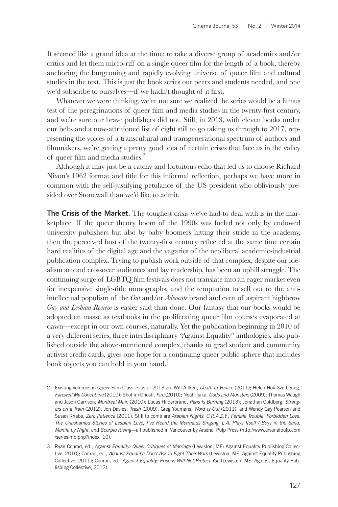It seemed like a grand idea at the time: to take a diverse group of academics and/or critics and let them micro-riff on a single queer film for the length of a book, thereby anchoring the burgeoning and rapidly evolving universe of queer film and cultural studies in the text. This is just the book series our peers and students needed, and one we'd subscribe to ourselves—if we hadn't thought of it first.

Whatever we were thinking, we're not sure we realized the series would be a litmus test of the peregrinations of queer film and media studies in the twenty-first century, and we're sure our brave publishers did not. Still, in 2013, with eleven books under our belts and a now-attritioned list of eight still to go taking us through to 2017, representing the voices of a transcultural and transgenerational spectrum of authors and filmmakers, we're getting a pretty good idea of certain crises that face us in the valley of queer film and media studies.<sup>2</sup>

Although it may just be a catchy and fortuitous echo that led us to choose Richard Nixon's 1962 format and title for this informal reflection, perhaps we have more in common with the self-justifying petulance of the US president who obliviously presided over Stonewall than we'd like to admit.

The Crisis of the Market. The toughest crisis we've had to deal with is in the marketplace. If the queer theory boom of the 1990s was fueled not only by endowed university publishers but also by baby boomers hitting their stride in the academy, then the perceived bust of the twenty-first century reflected at the same time certain hard realities of the digital age and the vagaries of the neoliberal academic-industrial publication complex. Trying to publish work outside of that complex, despite our idealism around crossover audiences and lay readership, has been an uphill struggle. The continuing surge of LGBTQ film festivals does not translate into an eager market even for inexpensive single-title monographs, and the temptation to sell out to the antiintellectual populism of the *Out* and/or *Advocate* brand and even of aspirant highbrow *Gay and Lesbian Review* is easier said than done. Our fantasy that our books would be adopted en masse as textbooks in the proliferating queer film courses evaporated at dawn—except in our own courses, naturally. Yet the publication beginning in 2010 of a very different series, three interdisciplinary "Against Equality" anthologies, also published outside the above-mentioned complex, thanks to grad student and community activist credit cards, gives one hope for a continuing queer public sphere that includes book objects you can hold in your hand.<sup>3</sup>

<sup>2</sup> Existing volumes in Queer Film Classics as of 2013 are Will Aitken, *Death in Venice* (2011); Helen Hok-Sze Leung, *Farewell My Concubine* (2010); Shohini Ghosh, *Fire* (2010); Noah Tsika, *Gods and Monsters* (2009); Thomas Waugh and Jason Garrison, *Montreal Main* (2010); Lucas Hilderbrand, *Paris Is Burning* (2013); Jonathan Goldberg, *Strangers on a Train* (2012); Jon Davies, *Trash* (2009); Greg Youmans, *Word Is Out* (2011); and Wendy Gay Pearson and Susan Knabe, *Zero Patience* (2011). Still to come are *Arabian Nights*, *C.R.A.Z.Y.*, *Female Trouble*, *Forbidden Love: The Unashamed Stories of Lesbian Love*, *I've Heard the Mermaids Singing*, *L.A. Plays Itself / Boys in the Sand*, *Manila by Night*, and *Scorpio Rising*—all published in Vancouver by Arsenal Pulp Press (http://www.arsenalpulp.com /seriesinfo.php?index=10).

<sup>3</sup> Ryan Conrad, ed., *Against Equality: Queer Critiques of Marriage* (Lewiston, ME: Against Equality Publishing Collective, 2010); Conrad, ed., *Against Equality: Don't Ask to Fight Their Wars* (Lewiston, ME: Against Equality Publishing Collective, 2011); Conrad, ed., *Against Equality: Prisons Will Not Protect You* (Lewiston, ME: Against Equality Publishing Collective, 2012).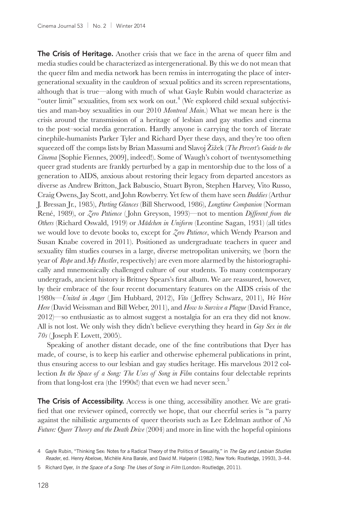The Crisis of Heritage. Another crisis that we face in the arena of queer film and media studies could be characterized as intergenerational. By this we do not mean that the queer film and media network has been remiss in interrogating the place of intergenerational sexuality in the cauldron of sexual politics and its screen representations, although that is true—along with much of what Gayle Rubin would characterize as "outer limit" sexualities, from sex work on out.<sup>4</sup> (We explored child sexual subjectivities and man-boy sexualities in our 2010 *Montreal Main*.) What we mean here is the crisis around the transmission of a heritage of lesbian and gay studies and cinema to the post–social media generation. Hardly anyone is carrying the torch of literate cinephile-humanists Parker Tyler and Richard Dyer these days, and they're too often squeezed off the comps lists by Brian Massumi and Slavoj Žižek (*The Pervert's Guide to the Cinema* [Sophie Fiennes, 2009], indeed!). Some of Waugh's cohort of twentysomething queer grad students are frankly perturbed by a gap in mentorship due to the loss of a generation to AIDS, anxious about restoring their legacy from departed ancestors as diverse as Andrew Britton, Jack Babuscio, Stuart Byron, Stephen Harvey, Vito Russo, Craig Owens, Jay Scott, and John Rowberry. Yet few of them have seen *Buddies* (Arthur J. Bressan Jr., 1985), *Parting Glances* (Bill Sherwood, 1986), *Longtime Companion* (Norman René, 1989), or *Zero Patience* ( John Greyson, 1993)—not to mention *Different from the Others* (Richard Oswald, 1919) or *Mädchen in Uniform* (Leontine Sagan, 1931) (all titles we would love to devote books to, except for *Zero Patience*, which Wendy Pearson and Susan Knabe covered in 2011). Positioned as undergraduate teachers in queer and sexuality film studies courses in a large, diverse metropolitan university, we (born the year of *Rope* and *My Hustler*, respectively) are even more alarmed by the historiographically and mnemonically challenged culture of our students. To many contemporary undergrads, ancient history is Britney Spears's first album. We are reassured, however, by their embrace of the four recent documentary features on the AIDS crisis of the 1980s—*United in Anger* ( Jim Hubbard, 2012), *Vito* ( Jeffrey Schwarz, 2011), *We Were Here* (David Weissman and Bill Weber, 2011), and *How to Survive a Plague* (David France, 2012)—so enthusiastic as to almost suggest a nostalgia for an era they did not know*.*  All is not lost. We only wish they didn't believe everything they heard in *Gay Sex in the 70s* ( Joseph F. Lovett, 2005).

Speaking of another distant decade, one of the fine contributions that Dyer has made, of course, is to keep his earlier and otherwise ephemeral publications in print, thus ensuring access to our lesbian and gay studies heritage. His marvelous 2012 collection *In the Space of a Song: The Uses of Song in Film* contains four delectable reprints from that long-lost era (the 1990s!) that even we had never seen.<sup>5</sup>

The Crisis of Accessibility. Access is one thing, accessibility another. We are gratified that one reviewer opined, correctly we hope, that our cheerful series is "a parry against the nihilistic arguments of queer theorists such as Lee Edelman author of *No Future: Queer Theory and the Death Drive* (2004) and more in line with the hopeful opinions

<sup>4</sup> Gayle Rubin, "Thinking Sex: Notes for a Radical Theory of the Politics of Sexuality," in *The Gay and Lesbian Studies Reader*, ed. Henry Abelove, Michèle Aina Barale, and David M. Halperin (1982; New York: Routledge, 1993), 3–44.

<sup>5</sup> Richard Dyer, *In the Space of a Song: The Uses of Song in Film* (London: Routledge, 2011).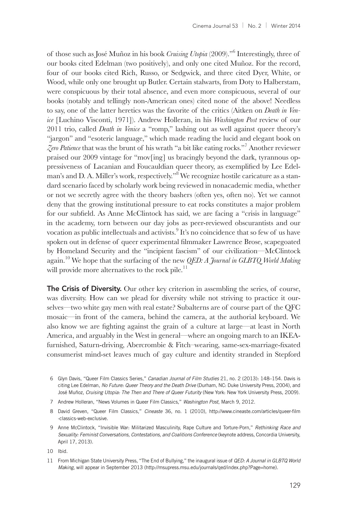of those such as José Muñoz in his book *Cruising Utopia* (2009)."6 Interestingly, three of our books cited Edelman (two positively), and only one cited Muñoz. For the record, four of our books cited Rich, Russo, or Sedgwick, and three cited Dyer, White, or Wood, while only one brought up Butler. Certain stalwarts, from Doty to Halberstam, were conspicuous by their total absence, and even more conspicuous, several of our books (notably and tellingly non-American ones) cited none of the above! Needless to say, one of the latter heretics was the favorite of the critics (Aitken on *Death in Venice* [Luchino Visconti, 1971]). Andrew Holleran, in his *Washington Post* review of our 2011 trio, called *Death in Venice* a "romp," lashing out as well against queer theory's "jargon" and "esoteric language," which made reading the lucid and elegant book on *Zero Patience* that was the brunt of his wrath "a bit like eating rocks."<sup>7</sup> Another reviewer praised our 2009 vintage for "mov[ing] us bracingly beyond the dark, tyrannous oppressiveness of Lacanian and Foucauldian queer theory, as exemplified by Lee Edelman's and D. A. Miller's work, respectively."<sup>8</sup> We recognize hostile caricature as a standard scenario faced by scholarly work being reviewed in nonacademic media, whether or not we secretly agree with the theory bashers (often yes, often no). Yet we cannot deny that the growing institutional pressure to eat rocks constitutes a major problem for our subfield. As Anne McClintock has said, we are facing a "crisis in language" in the academy, torn between our day jobs as peer-reviewed obscurantists and our vocation as public intellectuals and activists.<sup>9</sup> It's no coincidence that so few of us have spoken out in defense of queer experimental filmmaker Lawrence Brose, scapegoated by Homeland Security and the "incipient fascism" of our civilization—McClintock again.10 We hope that the surfacing of the new *QED: A Journal in GLBTQ World Making* will provide more alternatives to the rock pile. $^{11}$ 

The Crisis of Diversity. Our other key criterion in assembling the series, of course, was diversity. How can we plead for diversity while not striving to practice it ourselves—two white gay men with real estate? Subalterns are of course part of the QFC mosaic—in front of the camera, behind the camera, at the authorial keyboard. We also know we are fighting against the grain of a culture at large—at least in North America, and arguably in the West in general—where an ongoing march to an IKEAfurnished, Saturn-driving, Abercrombie & Fitch–wearing, same-sex-marriage-fixated consumerist mind-set leaves much of gay culture and identity stranded in Stepford

- 7 Andrew Holleran, "News Volumes in Queer Film Classics," *Washington Post*, March 9, 2012.
- 8 David Greven, "Queer Film Classics," *Cineaste* 36, no. 1 (2010), http://www.cineaste.com/articles/queer-film -classics-web-exclusive.
- 9 Anne McClintock, "Invisible War: Militarized Masculinity, Rape Culture and Torture-Porn," *Rethinking Race and Sexuality: Feminist Conversations, Contestations, and Coalitions Conference* (keynote address, Concordia University, April 17, 2013).

10 Ibid.

11 From Michigan State University Press, "The End of Bullying," the inaugural issue of *QED: A Journal in GLBTQ World Making*, will appear in September 2013 (http://msupress.msu.edu/journals/qed/index.php?Page=home).

<sup>6</sup> Glyn Davis, "Queer Film Classics Series," *Canadian Journal of Film Studies* 21, no. 2 (2013): 148–154. Davis is citing Lee Edelman, *No Future: Queer Theory and the Death Drive* (Durham, NC: Duke University Press, 2004), and José Muñoz, Cruising Utopia: The Then and There of Queer Futurity (New York: New York University Press, 2009).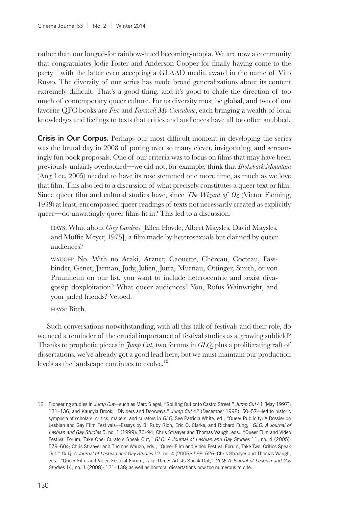rather than our longed-for rainbow-hued becoming-utopia. We are now a community that congratulates Jodie Foster and Anderson Cooper for finally having come to the party—with the latter even accepting a GLAAD media award in the name of Vito Russo. The diversity of our series has made broad generalizations about its content extremely difficult. That's a good thing, and it's good to chafe the direction of too much of contemporary queer culture. For us diversity must be global, and two of our favorite QFC books are *Fire* and *Farewell My Concubine*, each bringing a wealth of local knowledges and feelings to texts that critics and audiences have all too often snubbed.

**Crisis in Our Corpus.** Perhaps our most difficult moment in developing the series was the brutal day in 2008 of poring over so many clever, invigorating, and screamingly fun book proposals. One of our criteria was to focus on films that may have been previously unfairly overlooked—we did not, for example, think that *Brokeback Mountain* (Ang Lee, 2005) needed to have its rose stemmed one more time, as much as we love that film. This also led to a discussion of what precisely constitutes a queer text or film. Since queer film and cultural studies have, since *The Wizard of Oz* (Victor Fleming, 1939) at least, encompassed queer readings of texts not necessarily created as explicitly queer—do unwittingly queer films fit in? This led to a discussion:

hays: What about *Grey Gardens* [Ellen Hovde, Albert Maysles, David Maysles, and Muffie Meyer, 1975], a film made by heterosexuals but claimed by queer audiences?

waugh: No. With no Araki, Arzner, Caouette, Chéreau, Cocteau, Fassbinder, Genet, Jarman, Judy, Julien, Jutra, Murnau, Ottinger, Smith, or von Praunheim on our list, you want to include heterocentric and sexist divagossip doxploitation? What queer audiences? You, Rufus Wainwright, and your jaded friends? Vetoed.

hays: Bitch.

Such conversations notwithstanding, with all this talk of festivals and their role, do we need a reminder of the crucial importance of festival studies as a growing subfield? Thanks to prophetic pieces in *Jump Cut*, two forums in *GLQ*, plus a proliferating raft of dissertations, we've already got a good lead here, but we must maintain our production levels as the landscape continues to evolve.<sup>12</sup>

<sup>12</sup> Pioneering studies in *Jump Cut—*such as Marc Siegel, "Spilling Out onto Castro Street," *Jump Cut* 41 (May 1997): 131–136, and Kaucyla Brook, "Dividers and Doorways," *Jump Cut* 42 (December 1998): 50–57—led to historic symposia of scholars, critics, makers, and curators in *GLQ.* See Patricia White, ed., "Queer Publicity: A Dossier on Lesbian and Gay Film Festivals—Essays by B. Ruby Rich, Eric O. Clarke, and Richard Fung," *GLQ: A Journal of Lesbian and Gay Studies* 5, no. 1 (1999): 73–94; Chris Straayer and Thomas Waugh, eds., "Queer Film and Video Festival Forum, Take One: Curators Speak Out," *GLQ: A Journal of Lesbian and Gay Studies* 11, no. 4 (2005): 579–604; Chris Straayer and Thomas Waugh, eds., "Queer Film and Video Festival Forum, Take Two: Critics Speak Out," *GLQ: A Journal of Lesbian and Gay Studies* 12, no. 4 (2006): 599–626; Chris Straayer and Thomas Waugh, eds., "Queer Film and Video Festival Forum, Take Three: Artists Speak Out," *GLQ: A Journal of Lesbian and Gay Studies* 14, no. 1 (2008): 121–138; as well as doctoral dissertations now too numerous to cite.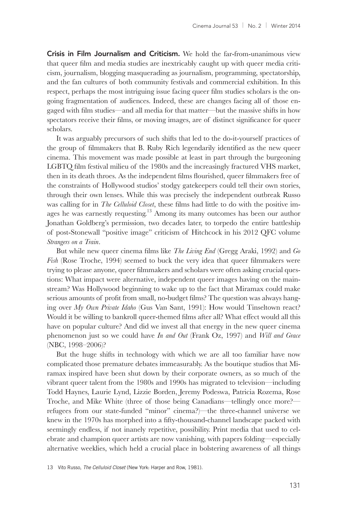**Crisis in Film Journalism and Criticism.** We hold the far-from-unanimous view that queer film and media studies are inextricably caught up with queer media criticism, journalism, blogging masquerading as journalism, programming, spectatorship, and the fan cultures of both community festivals and commercial exhibition. In this respect, perhaps the most intriguing issue facing queer film studies scholars is the ongoing fragmentation of audiences. Indeed, these are changes facing all of those engaged with film studies—and all media for that matter—but the massive shifts in how spectators receive their films, or moving images, are of distinct significance for queer scholars.

It was arguably precursors of such shifts that led to the do-it-yourself practices of the group of filmmakers that B. Ruby Rich legendarily identified as the new queer cinema. This movement was made possible at least in part through the burgeoning LGBTQ film festival milieu of the 1980s and the increasingly fractured VHS market, then in its death throes. As the independent films flourished, queer filmmakers free of the constraints of Hollywood studios' stodgy gatekeepers could tell their own stories, through their own lenses. While this was precisely the independent outbreak Russo was calling for in *The Celluloid Closet*, these films had little to do with the positive images he was earnestly requesting.13 Among its many outcomes has been our author Jonathan Goldberg's permission, two decades later, to torpedo the entire battleship of post-Stonewall "positive image" criticism of Hitchcock in his 2012 QFC volume *Strangers on a Train*.

But while new queer cinema films like *The Living End* (Gregg Araki, 1992) and *Go Fish* (Rose Troche, 1994) seemed to buck the very idea that queer filmmakers were trying to please anyone, queer filmmakers and scholars were often asking crucial questions: What impact were alternative, independent queer images having on the mainstream? Was Hollywood beginning to wake up to the fact that Miramax could make serious amounts of profit from small, no-budget films? The question was always hanging over *My Own Private Idaho* (Gus Van Sant, 1991): How would Tinseltown react? Would it be willing to bankroll queer-themed films after all? What effect would all this have on popular culture? And did we invest all that energy in the new queer cinema phenomenon just so we could have *In and Out* (Frank Oz, 1997) and *Will and Grace* (NBC, 1998–2006)?

But the huge shifts in technology with which we are all too familiar have now complicated those premature debates immeasurably. As the boutique studios that Miramax inspired have been shut down by their corporate owners, as so much of the vibrant queer talent from the 1980s and 1990s has migrated to television—including Todd Haynes, Laurie Lynd, Lizzie Borden, Jeremy Podeswa, Patricia Rozema, Rose Troche, and Mike White (three of those being Canadians—tellingly once more? refugees from our state-funded "minor" cinema?)—the three-channel universe we knew in the 1970s has morphed into a fifty-thousand-channel landscape packed with seemingly endless, if not inanely repetitive, possibility. Print media that used to celebrate and champion queer artists are now vanishing, with papers folding—especially alternative weeklies, which held a crucial place in bolstering awareness of all things

13 Vito Russo, *The Celluloid Closet* (New York: Harper and Row, 1981).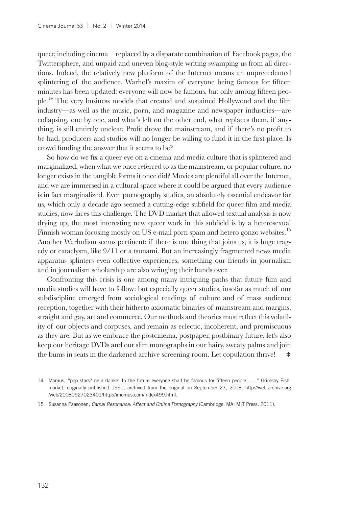queer, including cinema—replaced by a disparate combination of Facebook pages, the Twittersphere, and unpaid and uneven blog-style writing swamping us from all directions. Indeed, the relatively new platform of the Internet means an unprecedented splintering of the audience. Warhol's maxim of everyone being famous for fifteen minutes has been updated: everyone will now be famous, but only among fifteen people.<sup>14</sup> The very business models that created and sustained Hollywood and the film industry—as well as the music, porn, and magazine and newspaper industries—are collapsing, one by one, and what's left on the other end, what replaces them, if anything, is still entirely unclear. Profit drove the mainstream, and if there's no profit to be had, producers and studios will no longer be willing to fund it in the first place. Is crowd funding the answer that it seems to be?

So how do we fix a queer eye on a cinema and media culture that is splintered and marginalized, when what we once referred to as the mainstream, or popular culture, no longer exists in the tangible forms it once did? Movies are plentiful all over the Internet, and we are immersed in a cultural space where it could be argued that every audience is in fact marginalized. Even pornography studies, an absolutely essential endeavor for us, which only a decade ago seemed a cutting-edge subfield for queer film and media studies, now faces this challenge. The DVD market that allowed textual analysis is now drying up; the most interesting new queer work in this subfield is by a heterosexual Finnish woman focusing mostly on US e-mail porn spam and hetero gonzo websites.<sup>15</sup> Another Warholism seems pertinent: if there is one thing that joins us, it is huge tragedy or cataclysm, like 9/11 or a tsunami. But an increasingly fragmented news media apparatus splinters even collective experiences, something our friends in journalism and in journalism scholarship are also wringing their hands over.

Confronting this crisis is one among many intriguing paths that future film and media studies will have to follow: but especially queer studies, insofar as much of our subdiscipline emerged from sociological readings of culture and of mass audience reception, together with their hitherto axiomatic binaries of mainstream and margins, straight and gay, art and commerce. Our methods and theories must reflect this volatility of our objects and corpuses, and remain as eclectic, incoherent, and promiscuous as they are. But as we embrace the postcinema, postpaper, postbinary future, let's also keep our heritage DVDs and our slim monographs in our hairy, sweaty palms and join the bums in seats in the darkened archive screening room. Let copulation thrive!  $\ast$ 

<sup>14</sup> Momus, "pop stars? nein danke! In the future everyone shall be famous for fifteen people . . ." Grimsby Fishmarket, originally published 1991, archived from the original on September 27, 2008, http://web.archive.org /web/20080927023401/http://imomus.com/index499.html.

<sup>15</sup> Susanna Paasonen, *Carnal Resonance: Affect and Online Pornography* (Cambridge, MA: MIT Press, 2011).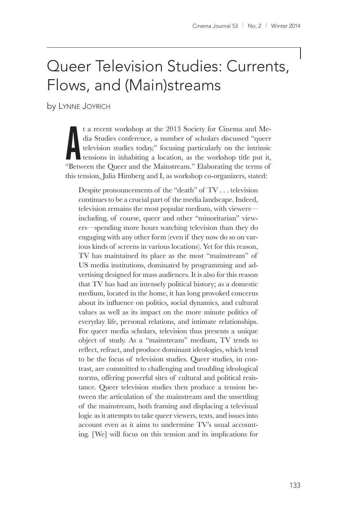# Queer Television Studies: Currents, Flows, and (Main)streams

by Lynne Joyrich

t a recent workshop at the 2013 Society for Cinema and Media Studies conference, a number of scholars discussed "queer television studies today," focusing particularly on the intrinsic tensions in inhabiting a location, as t a recent workshop at the 2013 Society for Cinema and Media Studies conference, a number of scholars discussed "queer television studies today," focusing particularly on the intrinsic tensions in inhabiting a location, as the workshop title put it, this tension, Julia Himberg and I, as workshop co-organizers, stated:

Despite pronouncements of the "death" of TV . . . television continues to be a crucial part of the media landscape. Indeed, television remains the most popular medium, with viewers including, of course, queer and other "minoritarian" viewers—spending more hours watching television than they do engaging with any other form (even if they now do so on various kinds of screens in various locations). Yet for this reason, TV has maintained its place as the most "mainstream" of US media institutions, dominated by programming and advertising designed for mass audiences. It is also for this reason that TV has had an intensely political history; as a domestic medium, located in the home, it has long provoked concerns about its influence on politics, social dynamics, and cultural values as well as its impact on the more minute politics of everyday life, personal relations, and intimate relationships. For queer media scholars, television thus presents a unique object of study. As a "mainstream" medium, TV tends to reflect, refract, and produce dominant ideologies, which tend to be the focus of television studies. Queer studies, in contrast, are committed to challenging and troubling ideological norms, offering powerful sites of cultural and political resistance. Queer television studies then produce a tension between the articulation of the mainstream and the unsettling of the mainstream, both framing and displacing a televisual logic as it attempts to take queer viewers, texts, and issues into account even as it aims to undermine TV's usual accounting. [We] will focus on this tension and its implications for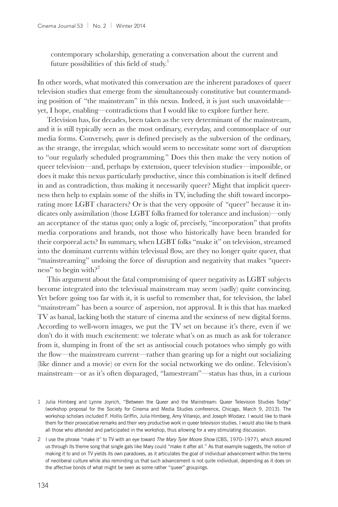contemporary scholarship, generating a conversation about the current and future possibilities of this field of study.<sup>1</sup>

In other words, what motivated this conversation are the inherent paradoxes of queer television studies that emerge from the simultaneously constitutive but countermanding position of "the mainstream" in this nexus. Indeed, it is just such unavoidable yet, I hope, enabling—contradictions that I would like to explore further here.

Television has, for decades, been taken as the very determinant of the mainstream, and it is still typically seen as the most ordinary, everyday, and commonplace of our media forms. Conversely, *queer* is defined precisely as the subversion of the ordinary, as the strange, the irregular, which would seem to necessitate some sort of disruption to "our regularly scheduled programming." Does this then make the very notion of queer television—and, perhaps by extension, queer television studies—impossible, or does it make this nexus particularly productive, since this combination is itself defined in and as contradiction, thus making it necessarily queer? Might that implicit queerness then help to explain some of the shifts in TV, including the shift toward incorporating more LGBT characters? Or is that the very opposite of "queer" because it indicates only assimilation (those LGBT folks framed for tolerance and inclusion)—only an acceptance of the status quo; only a logic of, precisely, "incorporation" that profits media corporations and brands, not those who historically have been branded for their corporeal acts? In summary, when LGBT folks "make it" on television, streamed into the dominant currents within televisual flow, are they no longer quite queer, that "mainstreaming" undoing the force of disruption and negativity that makes "queerness" to begin with?<sup>2</sup>

This argument about the fatal compromising of queer negativity as LGBT subjects become integrated into the televisual mainstream may seem (sadly) quite convincing. Yet before going too far with it, it is useful to remember that, for television, the label "mainstream" has been a source of aspersion, not approval. It is this that has marked TV as banal, lacking both the stature of cinema and the sexiness of new digital forms. According to well-worn images, we put the TV set on because it's there, even if we don't do it with much excitement: we tolerate what's on as much as ask for tolerance from it, slumping in front of the set as antisocial couch potatoes who simply go with the flow—the mainstream current—rather than gearing up for a night out socializing (like dinner and a movie) or even for the social networking we do online. Television's mainstream—or as it's often disparaged, "lamestream"—status has thus, in a curious

<sup>1</sup> Julia Himberg and Lynne Joyrich, "Between the Queer and the Mainstream: Queer Television Studies Today" (workshop proposal for the Society for Cinema and Media Studies conference, Chicago, March 9, 2013). The workshop scholars included F. Hollis Griffin, Julia Himberg, Amy Villarejo, and Joseph Wlodarz. I would like to thank them for their provocative remarks and their very productive work in queer television studies. I would also like to thank all those who attended and participated in the workshop, thus allowing for a very stimulating discussion.

<sup>2</sup> I use the phrase "make it" to TV with an eye toward *The Mary Tyler Moore Show* (CBS, 1970–1977), which assured us through its theme song that single gals like Mary could "make it after all." As that example suggests, the notion of making it to and on TV yields its own paradoxes, as it articulates the goal of individual advancement within the terms of neoliberal culture while also reminding us that such advancement is not quite individual, depending as it does on the affective bonds of what might be seen as some rather "queer" groupings.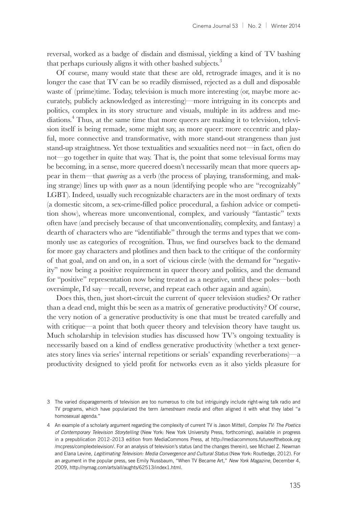reversal, worked as a badge of disdain and dismissal, yielding a kind of TV bashing that perhaps curiously aligns it with other bashed subjects.<sup>3</sup>

Of course, many would state that these are old, retrograde images, and it is no longer the case that TV can be so readily dismissed, rejected as a dull and disposable waste of (prime)time. Today, television is much more interesting (or, maybe more accurately, publicly acknowledged as interesting)—more intriguing in its concepts and politics, complex in its story structure and visuals, multiple in its address and mediations.<sup>4</sup> Thus, at the same time that more queers are making it to television, television itself is being remade, some might say, as more queer: more eccentric and playful, more connective and transformative, with more stand-out strangeness than just stand-up straightness. Yet those textualities and sexualities need not—in fact, often do not—go together in quite that way. That is, the point that some televisual forms may be becoming, in a sense, more queered doesn't necessarily mean that more queers appear in them—that *queering* as a verb (the process of playing, transforming, and making strange) lines up with *queer* as a noun (identifying people who are "recognizably" LGBT). Indeed, usually such recognizable characters are in the most ordinary of texts (a domestic sitcom, a sex-crime-filled police procedural, a fashion advice or competition show), whereas more unconventional, complex, and variously "fantastic" texts often have (and precisely because of that unconventionality, complexity, and fantasy) a dearth of characters who are "identifiable" through the terms and types that we commonly use as categories of recognition. Thus, we find ourselves back to the demand for more gay characters and plotlines and then back to the critique of the conformity of that goal, and on and on, in a sort of vicious circle (with the demand for "negativity" now being a positive requirement in queer theory and politics, and the demand for "positive" representation now being treated as a negative, until these poles—both oversimple, I'd say—recall, reverse, and repeat each other again and again).

Does this, then, just short-circuit the current of queer television studies? Or rather than a dead end, might this be seen as a matrix of generative productivity? Of course, the very notion of a generative productivity is one that must be treated carefully and with critique—a point that both queer theory and television theory have taught us. Much scholarship in television studies has discussed how TV's ongoing textuality is necessarily based on a kind of endless generative productivity (whether a text generates story lines via series' internal repetitions or serials' expanding reverberations)—a productivity designed to yield profit for networks even as it also yields pleasure for

<sup>3</sup> The varied disparagements of television are too numerous to cite but intriguingly include right-wing talk radio and TV programs, which have popularized the term *lamestream media* and often aligned it with what they label "a homosexual agenda."

<sup>4</sup> An example of a scholarly argument regarding the complexity of current TV is Jason Mittell, *Complex TV: The Poetics of Contemporary Television Storytelling* (New York: New York University Press, forthcoming), available in progress in a prepublication 2012–2013 edition from MediaCommons Press, at http://mediacommons.futureofthebook.org /mcpress/complextelevision/. For an analysis of television's status (and the changes therein), see Michael Z. Newman and Elana Levine, *Legitimating Television: Media Convergence and Cultural Status* (New York: Routledge, 2012). For an argument in the popular press, see Emily Nussbaum, "When TV Became Art," *New York Magazine*, December 4, 2009, http://nymag.com/arts/all/aughts/62513/index1.html.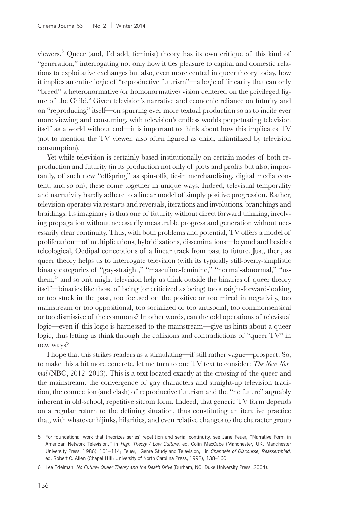viewers.<sup>5</sup> Queer (and, I'd add, feminist) theory has its own critique of this kind of "generation," interrogating not only how it ties pleasure to capital and domestic relations to exploitative exchanges but also, even more central in queer theory today, how it implies an entire logic of "reproductive futurism"—a logic of linearity that can only "breed" a heteronormative (or homonormative) vision centered on the privileged figure of the Child.<sup>6</sup> Given television's narrative and economic reliance on futurity and on "reproducing" itself—on spurring ever more textual production so as to incite ever more viewing and consuming, with television's endless worlds perpetuating television itself as a world without end—it is important to think about how this implicates TV (not to mention the TV viewer, also often figured as child, infantilized by television consumption).

Yet while television is certainly based institutionally on certain modes of both reproduction and futurity (in its production not only of plots and profits but also, importantly, of such new "offspring" as spin-offs, tie-in merchandising, digital media content, and so on), these come together in unique ways. Indeed, televisual temporality and narrativity hardly adhere to a linear model of simply positive progression. Rather, television operates via restarts and reversals, iterations and involutions, branchings and braidings. Its imaginary is thus one of futurity without direct forward thinking, involving propagation without necessarily measurable progress and generation without necessarily clear continuity. Thus, with both problems and potential, TV offers a model of proliferation—of multiplications, hybridizations, disseminations—beyond and besides teleological, Oedipal conceptions of a linear track from past to future. Just, then, as queer theory helps us to interrogate television (with its typically still-overly-simplistic binary categories of "gay-straight," "masculine-feminine," "normal-abnormal," "usthem," and so on), might television help us think outside the binaries of queer theory itself—binaries like those of being (or criticized as being) too straight-forward-looking or too stuck in the past, too focused on the positive or too mired in negativity, too mainstream or too oppositional, too socialized or too antisocial, too commonsensical or too dismissive of the commons? In other words, can the odd operations of televisual logic—even if this logic is harnessed to the mainstream—give us hints about a queer logic, thus letting us think through the collisions and contradictions of "queer TV" in new ways?

I hope that this strikes readers as a stimulating—if still rather vague—prospect. So, to make this a bit more concrete, let me turn to one TV text to consider: *The New Normal* (NBC, 2012–2013). This is a text located exactly at the crossing of the queer and the mainstream, the convergence of gay characters and straight-up television tradition, the connection (and clash) of reproductive futurism and the "no future" arguably inherent in old-school, repetitive sitcom form. Indeed, that generic TV form depends on a regular return to the defining situation, thus constituting an iterative practice that, with whatever hijinks, hilarities, and even relative changes to the character group

<sup>5</sup> For foundational work that theorizes series' repetition and serial continuity, see Jane Feuer, "Narrative Form in American Network Television," in *High Theory / Low Culture*, ed. Colin MacCabe (Manchester, UK: Manchester University Press, 1986), 101–114; Feuer, "Genre Study and Television," in *Channels of Discourse, Reassembled*, ed. Robert C. Allen (Chapel Hill: University of North Carolina Press, 1992), 138–160.

<sup>6</sup> Lee Edelman, *No Future: Queer Theory and the Death Drive* (Durham, NC: Duke University Press, 2004).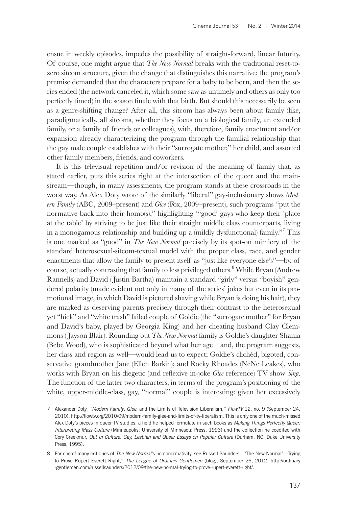ensue in weekly episodes, impedes the possibility of straight-forward, linear futurity. Of course, one might argue that *The New Normal* breaks with the traditional reset-tozero sitcom structure, given the change that distinguishes this narrative: the program's premise demanded that the characters prepare for a baby to be born, and then the series ended (the network canceled it, which some saw as untimely and others as only too perfectly timed) in the season finale with that birth. But should this necessarily be seen as a genre-shifting change? After all, this sitcom has always been about family (like, paradigmatically, all sitcoms, whether they focus on a biological family, an extended family, or a family of friends or colleagues), with, therefore, family enactment and/or expansion already characterizing the program through the familial relationship that the gay male couple establishes with their "surrogate mother," her child, and assorted other family members, friends, and coworkers.

It is this televisual repetition and/or revision of the meaning of family that, as stated earlier, puts this series right at the intersection of the queer and the mainstream—though, in many assessments, the program stands at these crossroads in the worst way. As Alex Doty wrote of the similarly "liberal" gay-inclusionary shows *Modern Family* (ABC, 2009–present) and *Glee* (Fox, 2009–present), such programs "put the normative back into their homo(s)," highlighting "'good' gays who keep their 'place at the table' by striving to be just like their straight middle class counterparts, living in a monogamous relationship and building up a (mildly dysfunctional) family."<sup>7</sup> This is one marked as "good" in *The New Normal* precisely by its spot-on mimicry of the standard heterosexual-sitcom-textual model with the proper class, race, and gender enactments that allow the family to present itself as "just like everyone else's"—by, of course, actually contrasting that family to less privileged others.<sup>8</sup> While Bryan (Andrew Rannells) and David ( Justin Bartha) maintain a standard "girly" versus "boyish" gendered polarity (made evident not only in many of the series' jokes but even in its promotional image, in which David is pictured shaving while Bryan is doing his hair), they are marked as deserving parents precisely through their contrast to the heterosexual yet "hick" and "white trash" failed couple of Goldie (the "surrogate mother" for Bryan and David's baby, played by Georgia King) and her cheating husband Clay Clemmons ( Jayson Blair). Rounding out *The New Normal* family is Goldie's daughter Shania (Bebe Wood), who is sophisticated beyond what her age—and, the program suggests, her class and region as well—would lead us to expect; Goldie's clichéd, bigoted, conservative grandmother Jane (Ellen Barkin); and Rocky Rhoades (NeNe Leakes), who works with Bryan on his diegetic (and reflexive in-joke *Glee* reference) TV show *Sing*. The function of the latter two characters, in terms of the program's positioning of the white, upper-middle-class, gay, "normal" couple is interesting: given her excessively

<sup>7</sup> Alexander Doty, "*Modern Family*, *Glee*, and the Limits of Television Liberalism," *FlowTV* 12, no. 9 (September 24, 2010), http://flowtv.org/2010/09/modern-family-glee-and-limits-of-tv-liberalism. This is only one of the much-missed Alex Doty's pieces in queer TV studies, a field he helped formulate in such books as *Making Things Perfectly Queer: Interpreting Mass Culture* (Minneapolis: University of Minnesota Press, 1993) and the collection he coedited with Cory Creekmur, *Out in Culture: Gay, Lesbian and Queer Essays on Popular Culture* (Durham, NC: Duke University Press, 1995).

<sup>8</sup> For one of many critiques of *The New Normal*'s homonormativity, see Russell Saunders, "'The New Normal'—Trying to Prove Rupert Everett Right," *The League of Ordinary Gentlemen* (blog), September 26, 2012, http://ordinary -gentlemen.com/russellsaunders/2012/09/the-new-normal-trying-to-prove-rupert-everett-right/.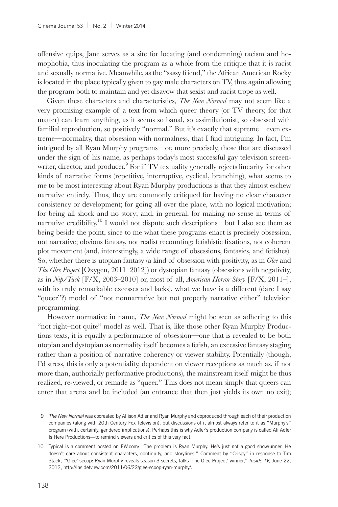offensive quips, Jane serves as a site for locating (and condemning) racism and homophobia, thus inoculating the program as a whole from the critique that it is racist and sexually normative. Meanwhile, as the "sassy friend," the African American Rocky is located in the place typically given to gay male characters on TV, thus again allowing the program both to maintain and yet disavow that sexist and racist trope as well.

Given these characters and characteristics, *The New Normal* may not seem like a very promising example of a text from which queer theory (or TV theory, for that matter) can learn anything, as it seems so banal, so assimilationist, so obsessed with familial reproduction, so positively "normal." But it's exactly that supreme—even extreme—normality, that obsession with normalness, that I find intriguing. In fact, I'm intrigued by all Ryan Murphy programs—or, more precisely, those that are discussed under the sign of his name, as perhaps today's most successful gay television screenwriter, director, and producer.<sup>9</sup> For if TV textuality generally rejects linearity for other kinds of narrative forms (repetitive, interruptive, cyclical, branching), what seems to me to be most interesting about Ryan Murphy productions is that they almost eschew narrative entirely. Thus, they are commonly critiqued for having no clear character consistency or development; for going all over the place, with no logical motivation; for being all shock and no story; and, in general, for making no sense in terms of narrative credibility.10 I would not dispute such descriptions—but I also see them as being beside the point, since to me what these programs enact is precisely obsession, not narrative; obvious fantasy, not realist recounting; fetishistic fixations, not coherent plot movement (and, interestingly, a wide range of obsessions, fantasies, and fetishes). So, whether there is utopian fantasy (a kind of obsession with positivity, as in *Glee* and *The Glee Project* [Oxygen, 2011–2012]) or dystopian fantasy (obsessions with negativity, as in *Nip/Tuck* [F/X, 2003–2010] or, most of all, *American Horror Story* [F/X, 2011–], with its truly remarkable excesses and lacks), what we have is a different (dare I say "queer"?) model of "not nonnarrative but not properly narrative either" television programming.

However normative in name, *The New Normal* might be seen as adhering to this "not right–not quite" model as well. That is, like those other Ryan Murphy Productions texts, it is equally a performance of obsession—one that is revealed to be both utopian and dystopian as normality itself becomes a fetish, an excessive fantasy staging rather than a position of narrative coherency or viewer stability. Potentially (though, I'd stress, this is only a potentiality, dependent on viewer receptions as much as, if not more than, authorially performative productions), the mainstream itself might be thus realized, re-viewed, or remade as "queer." This does not mean simply that queers can enter that arena and be included (an entrance that then just yields its own no exit);

<sup>9</sup> *The New Normal* was cocreated by Allison Adler and Ryan Murphy and coproduced through each of their production companies (along with 20th Century Fox Television), but discussions of it almost always refer to it as "Murphy's" program (with, certainly, gendered implications). Perhaps this is why Adler's production company is called Ali Adler Is Here Productions—to remind viewers and critics of this very fact.

<sup>10</sup> Typical is a comment posted on EW.com: "The problem is Ryan Murphy. He's just not a good showrunner. He doesn't care about consistent characters, continuity, and storylines." Comment by "Crispy" in response to Tim Stack, "'Glee' scoop: Ryan Murphy reveals season 3 secrets, talks 'The Glee Project' winner," *Inside TV*, June 22, 2012, http://insidetv.ew.com/2011/06/22/glee-scoop-ryan-murphy/.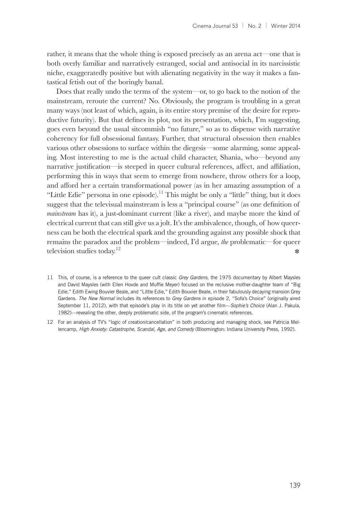rather, it means that the whole thing is exposed precisely as an arena act—one that is both overly familiar and narratively estranged, social and antisocial in its narcissistic niche, exaggeratedly positive but with alienating negativity in the way it makes a fantastical fetish out of the boringly banal.

Does that really undo the terms of the system—or, to go back to the notion of the mainstream, reroute the current? No. Obviously, the program is troubling in a great many ways (not least of which, again, is its entire story premise of the desire for reproductive futurity). But that defines its plot, not its presentation, which, I'm suggesting, goes even beyond the usual sitcommish "no future," so as to dispense with narrative coherency for full obsessional fantasy. Further, that structural obsession then enables various other obsessions to surface within the diegesis—some alarming, some appealing. Most interesting to me is the actual child character, Shania, who—beyond any narrative justification—is steeped in queer cultural references, affect, and affiliation, performing this in ways that seem to emerge from nowhere, throw others for a loop, and afford her a certain transformational power (as in her amazing assumption of a "Little Edie" persona in one episode).<sup>11</sup> This might be only a "little" thing, but it does suggest that the televisual mainstream is less a "principal course" (as one definition of *mainstream* has it), a just-dominant current (like a river), and maybe more the kind of electrical current that can still give us a jolt. It's the ambivalence, though, of how queerness can be both the electrical spark and the grounding against any possible shock that remains the paradox and the problem—indeed, I'd argue, *the* problematic—for queer television studies today.12 ✽

- 11 This, of course, is a reference to the queer cult classic *Grey Gardens*, the 1975 documentary by Albert Maysles and David Maysles (with Ellen Hovde and Muffie Meyer) focused on the reclusive mother-daughter team of "Big Edie," Edith Ewing Bouvier Beale, and "Little Edie," Edith Bouvier Beale, in their fabulously decaying mansion Grey Gardens. *The New Normal* includes its references to *Grey Gardens* in episode 2, "Sofa's Choice" (originally aired September 11, 2012), with that episode's play in its title on yet another film—*Sophie's Choice* (Alan J. Pakula, 1982)—revealing the other, deeply problematic side, of the program's cinematic references.
- 12 For an analysis of TV's "logic of creation/cancellation" in both producing and managing shock, see Patricia Mellencamp, *High Anxiety: Catastrophe, Scandal, Age, and Comedy* (Bloomington: Indiana University Press, 1992).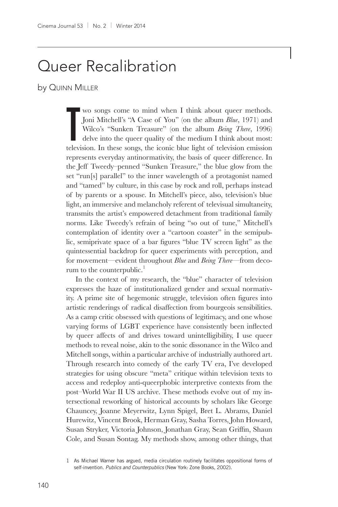### Queer Recalibration

by QUINN MILLER

Wo songs come to mind when I think about queer methods.<br>Joni Mitchell's "A Case of You" (on the album *Blue*, 1971) and<br>Wilco's "Sunken Treasure" (on the album *Being There*, 1996)<br>delve into the queer quality of the mediu wo songs come to mind when I think about queer methods. Joni Mitchell's "A Case of You" (on the album *Blue*, 1971) and Wilco's "Sunken Treasure" (on the album *Being There*, 1996) delve into the queer quality of the medium I think about most: represents everyday antinormativity, the basis of queer difference. In the Jeff Tweedy–penned "Sunken Treasure," the blue glow from the set "run[s] parallel" to the inner wavelength of a protagonist named and "tamed" by culture, in this case by rock and roll, perhaps instead of by parents or a spouse. In Mitchell's piece, also, television's blue light, an immersive and melancholy referent of televisual simultaneity, transmits the artist's empowered detachment from traditional family norms. Like Tweedy's refrain of being "so out of tune," Mitchell's contemplation of identity over a "cartoon coaster" in the semipublic, semiprivate space of a bar figures "blue TV screen light" as the quintessential backdrop for queer experiments with perception, and for movement—evident throughout *Blue* and *Being There*—from decorum to the counterpublic.<sup>1</sup>

In the context of my research, the "blue" character of television expresses the haze of institutionalized gender and sexual normativity. A prime site of hegemonic struggle, television often figures into artistic renderings of radical disaffection from bourgeois sensibilities. As a camp critic obsessed with questions of legitimacy, and one whose varying forms of LGBT experience have consistently been inflected by queer affects of and drives toward unintelligibility, I use queer methods to reveal noise, akin to the sonic dissonance in the Wilco and Mitchell songs, within a particular archive of industrially authored art. Through research into comedy of the early TV era, I've developed strategies for using obscure "meta" critique within television texts to access and redeploy anti-queerphobic interpretive contexts from the post–World War II US archive. These methods evolve out of my intersectional reworking of historical accounts by scholars like George Chauncey, Joanne Meyerwitz, Lynn Spigel, Bret L. Abrams, Daniel Hurewitz, Vincent Brook, Herman Gray, Sasha Torres, John Howard, Susan Stryker, Victoria Johnson, Jonathan Gray, Sean Griffin, Shaun Cole, and Susan Sontag. My methods show, among other things, that

<sup>1</sup> As Michael Warner has argued, media circulation routinely facilitates oppositional forms of self-invention. *Publics and Counterpublics* (New York: Zone Books, 2002).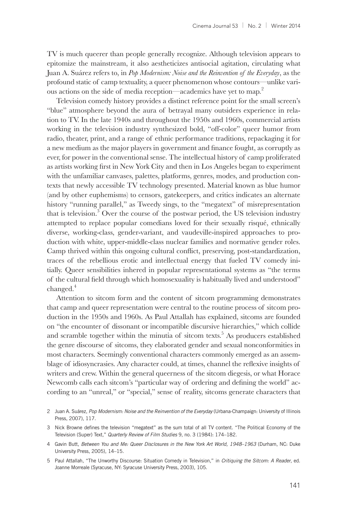TV is much queerer than people generally recognize. Although television appears to epitomize the mainstream, it also aestheticizes antisocial agitation, circulating what Juan A. Suárez refers to, in *Pop Modernism: Noise and the Reinvention of the Everyday*, as the profound static of camp textuality, a queer phenomenon whose contours—unlike various actions on the side of media reception—academics have yet to map.<sup>2</sup>

Television comedy history provides a distinct reference point for the small screen's "blue" atmosphere beyond the aura of betrayal many outsiders experience in relation to TV. In the late 1940s and throughout the 1950s and 1960s, commercial artists working in the television industry synthesized bold, "off-color" queer humor from radio, theater, print, and a range of ethnic performance traditions, repackaging it for a new medium as the major players in government and finance fought, as corruptly as ever, for power in the conventional sense. The intellectual history of camp proliferated as artists working first in New York City and then in Los Angeles began to experiment with the unfamiliar canvases, palettes, platforms, genres, modes, and production contexts that newly accessible TV technology presented. Material known as blue humor (and by other euphemisms) to censors, gatekeepers, and critics indicates an alternate history "running parallel," as Tweedy sings, to the "megatext" of misrepresentation that is television.<sup>3</sup> Over the course of the postwar period, the US television industry attempted to replace popular comedians loved for their sexually risqué, ethnically diverse, working-class, gender-variant, and vaudeville-inspired approaches to production with white, upper-middle-class nuclear families and normative gender roles. Camp thrived within this ongoing cultural conflict, preserving, post-standardization, traces of the rebellious erotic and intellectual energy that fueled TV comedy initially. Queer sensibilities inhered in popular representational systems as "the terms of the cultural field through which homosexuality is habitually lived and understood" changed.<sup>4</sup>

Attention to sitcom form and the content of sitcom programming demonstrates that camp and queer representation were central to the routine process of sitcom production in the 1950s and 1960s. As Paul Attallah has explained, sitcoms are founded on "the encounter of dissonant or incompatible discursive hierarchies," which collide and scramble together within the minutia of sitcom texts.<sup>5</sup> As producers established the genre discourse of sitcoms, they elaborated gender and sexual nonconformities in most characters. Seemingly conventional characters commonly emerged as an assemblage of idiosyncrasies. Any character could, at times, channel the reflexive insights of writers and crew. Within the general queerness of the sitcom diegesis, or what Horace Newcomb calls each sitcom's "particular way of ordering and defining the world" according to an "unreal," or "special," sense of reality, sitcoms generate characters that

<sup>2</sup> Juan A. Suárez, *Pop Modernism: Noise and the Reinvention of the Everyday* (Urbana-Champaign: University of Illinois Press, 2007), 117.

<sup>3</sup> Nick Browne defines the television "megatext" as the sum total of all TV content. "The Political Economy of the Television (Super) Text," *Quarterly Review of Film Studies* 9, no. 3 (1984): 174–182.

<sup>4</sup> Gavin Butt, *Between You and Me: Queer Disclosures in the New York Art World, 1948–1963* (Durham, NC: Duke University Press, 2005), 14–15.

<sup>5</sup> Paul Attallah, "The Unworthy Discourse: Situation Comedy in Television," in *Critiquing the Sitcom: A Reader*, ed. Joanne Morreale (Syracuse, NY: Syracuse University Press, 2003), 105.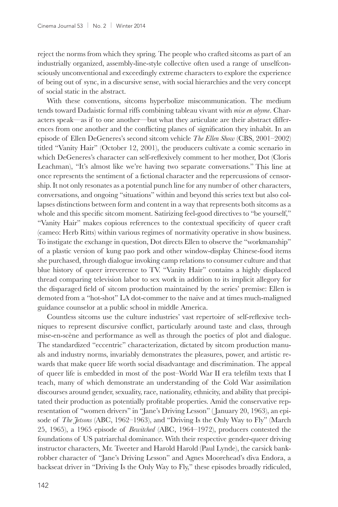reject the norms from which they spring. The people who crafted sitcoms as part of an industrially organized, assembly-line-style collective often used a range of unselfconsciously unconventional and exceedingly extreme characters to explore the experience of being out of sync, in a discursive sense, with social hierarchies and the very concept of social static in the abstract.

With these conventions, sitcoms hyperbolize miscommunication. The medium tends toward Dadaistic formal riffs combining tableau vivant with *mise en abyme*. Characters speak—as if to one another—but what they articulate are their abstract differences from one another and the conflicting planes of signification they inhabit. In an episode of Ellen DeGeneres's second sitcom vehicle *The Ellen Show* (CBS, 2001–2002) titled "Vanity Hair" (October 12, 2001), the producers cultivate a comic scenario in which DeGeneres's character can self-reflexively comment to her mother, Dot (Cloris Leachman), "It's almost like we're having two separate conversations." This line at once represents the sentiment of a fictional character and the repercussions of censorship. It not only resonates as a potential punch line for any number of other characters, conversations, and ongoing "situations" within and beyond this series text but also collapses distinctions between form and content in a way that represents both sitcoms as a whole and this specific sitcom moment. Satirizing feel-good directives to "be yourself," "Vanity Hair" makes copious references to the contextual specificity of queer craft (cameo: Herb Ritts) within various regimes of normativity operative in show business. To instigate the exchange in question, Dot directs Ellen to observe the "workmanship" of a plastic version of kung pao pork and other window-display Chinese-food items she purchased, through dialogue invoking camp relations to consumer culture and that blue history of queer irreverence to TV. "Vanity Hair" contains a highly displaced thread comparing television labor to sex work in addition to its implicit allegory for the disparaged field of sitcom production maintained by the series' premise: Ellen is demoted from a "hot-shot" LA dot-commer to the naive and at times much-maligned guidance counselor at a public school in middle America.

Countless sitcoms use the culture industries' vast repertoire of self-reflexive techniques to represent discursive conflict, particularly around taste and class, through mise-en-scène and performance as well as through the poetics of plot and dialogue. The standardized "eccentric" characterization, dictated by sitcom production manuals and industry norms, invariably demonstrates the pleasures, power, and artistic rewards that make queer life worth social disadvantage and discrimination. The appeal of queer life is embedded in most of the post–World War II era telefilm texts that I teach, many of which demonstrate an understanding of the Cold War assimilation discourses around gender, sexuality, race, nationality, ethnicity, and ability that precipitated their production as potentially profitable properties. Amid the conservative representation of "women drivers" in "Jane's Driving Lesson" ( January 20, 1963), an episode of *The Jetsons* (ABC, 1962–1963), and "Driving Is the Only Way to Fly" (March 25, 1965), a 1965 episode of *Bewitched* (ABC, 1964–1972), producers contested the foundations of US patriarchal dominance. With their respective gender-queer driving instructor characters, Mr. Tweeter and Harold Harold (Paul Lynde), the carsick bankrobber character of "Jane's Driving Lesson" and Agnes Moorehead's diva Endora, a backseat driver in "Driving Is the Only Way to Fly," these episodes broadly ridiculed,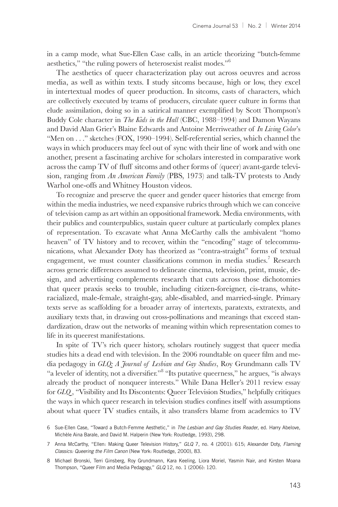in a camp mode, what Sue-Ellen Case calls, in an article theorizing "butch-femme aesthetics," "the ruling powers of heterosexist realist modes."<sup>6</sup>

The aesthetics of queer characterization play out across oeuvres and across media, as well as within texts. I study sitcoms because, high or low, they excel in intertextual modes of queer production. In sitcoms, casts of characters, which are collectively executed by teams of producers, circulate queer culture in forms that elude assimilation, doing so in a satirical manner exemplified by Scott Thompson's Buddy Cole character in *The Kids in the Hall* (CBC, 1988–1994) and Damon Wayans and David Alan Grier's Blaine Edwards and Antoine Merriweather of *In Living Color*'s "Men on . . ." sketches (FOX, 1990–1994). Self-referential series, which channel the ways in which producers may feel out of sync with their line of work and with one another, present a fascinating archive for scholars interested in comparative work across the camp TV of fluff sitcoms and other forms of (queer) avant-garde television, ranging from *An American Family* (PBS, 1973) and talk-TV protests to Andy Warhol one-offs and Whitney Houston videos.

To recognize and preserve the queer and gender queer histories that emerge from within the media industries, we need expansive rubrics through which we can conceive of television camp as art within an oppositional framework. Media environments, with their publics and counterpublics, sustain queer culture at particularly complex planes of representation. To excavate what Anna McCarthy calls the ambivalent "homo heaven" of TV history and to recover, within the "encoding" stage of telecommunications, what Alexander Doty has theorized as "contra-straight" forms of textual engagement, we must counter classifications common in media studies.<sup>7</sup> Research across generic differences assumed to delineate cinema, television, print, music, design, and advertising complements research that cuts across those dichotomies that queer praxis seeks to trouble, including citizen-foreigner, cis-trans, whiteracialized, male-female, straight-gay, able-disabled, and married-single. Primary texts serve as scaffolding for a broader array of intertexts, paratexts, extratexts, and auxiliary texts that, in drawing out cross-pollinations and meanings that exceed standardization, draw out the networks of meaning within which representation comes to life in its queerest manifestations.

In spite of TV's rich queer history, scholars routinely suggest that queer media studies hits a dead end with television. In the 2006 roundtable on queer film and media pedagogy in *GLQ: A Journal of Lesbian and Gay Studies*, Roy Grundmann calls TV "a leveler of identity, not a diversifier."<sup>8</sup> "Its putative queerness," he argues, "is always already the product of nonqueer interests." While Dana Heller's 2011 review essay for *GLQ* , "Visibility and Its Discontents: Queer Television Studies," helpfully critiques the ways in which queer research in television studies confines itself with assumptions about what queer TV studies entails, it also transfers blame from academics to TV

<sup>6</sup> Sue-Ellen Case, "Toward a Butch-Femme Aesthetic," in *The Lesbian and Gay Studies Reader*, ed. Harry Abelove, Michèle Aina Barale, and David M. Halperin (New York: Routledge, 1993), 298.

<sup>7</sup> Anna McCarthy, "Ellen: Making Queer Television History," *GLQ* 7, no. 4 (2001): 615; Alexander Doty, *Flaming Classics: Queering the Film Canon* (New York: Routledge, 2000), 83.

<sup>8</sup> Michael Bronski, Terri Ginsberg, Roy Grundmann, Kara Keeling, Liora Moriel, Yasmin Nair, and Kirsten Moana Thompson, "Queer Film and Media Pedagogy," *GLQ* 12, no. 1 (2006): 120.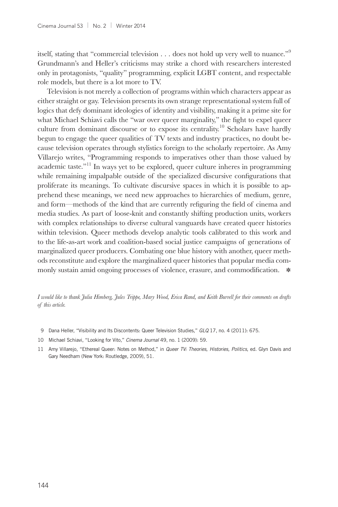itself, stating that "commercial television  $\dots$  does not hold up very well to nuance."<sup>9</sup> Grundmann's and Heller's criticisms may strike a chord with researchers interested only in protagonists, "quality" programming, explicit LGBT content, and respectable role models, but there is a lot more to TV.

Television is not merely a collection of programs within which characters appear as either straight or gay. Television presents its own strange representational system full of logics that defy dominant ideologies of identity and visibility, making it a prime site for what Michael Schiavi calls the "war over queer marginality," the fight to expel queer culture from dominant discourse or to expose its centrality.10 Scholars have hardly begun to engage the queer qualities of TV texts and industry practices, no doubt because television operates through stylistics foreign to the scholarly repertoire. As Amy Villarejo writes, "Programming responds to imperatives other than those valued by academic taste."11 In ways yet to be explored, queer culture inheres in programming while remaining impalpable outside of the specialized discursive configurations that proliferate its meanings. To cultivate discursive spaces in which it is possible to apprehend these meanings, we need new approaches to hierarchies of medium, genre, and form—methods of the kind that are currently refiguring the field of cinema and media studies. As part of loose-knit and constantly shifting production units, workers with complex relationships to diverse cultural vanguards have created queer histories within television. Queer methods develop analytic tools calibrated to this work and to the life-as-art work and coalition-based social justice campaigns of generations of marginalized queer producers. Combating one blue history with another, queer methods reconstitute and explore the marginalized queer histories that popular media commonly sustain amid ongoing processes of violence, erasure, and commodification. ✽

*I would like to thank Julia Himberg, Jules Trippe, Mary Wood, Erica Rand, and Keith Burrell for their comments on drafts of this article.* 

- 9 Dana Heller, "Visibility and Its Discontents: Queer Television Studies," *GLQ* 17, no. 4 (2011): 675.
- 10 Michael Schiavi, "Looking for Vito," *Cinema Journal* 49, no. 1 (2009): 59.
- 11 Amy Villarejo, "Ethereal Queer: Notes on Method," in *Queer TV: Theories, Histories, Politics*, ed. Glyn Davis and Gary Needham (New York: Routledge, 2009), 51.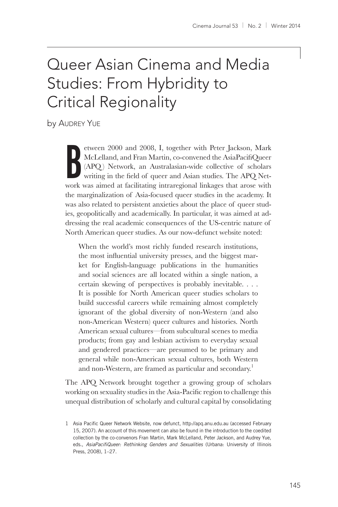# Queer Asian Cinema and Media Studies: From Hybridity to Critical Regionality

by AUDREY YUE

etween 2000 and 2008, I, together with Peter Jackson, Mark<br>McLelland, and Fran Martin, co-convened the AsiaPacifiQueer<br>(APQ) Network, an Australasian-wide collective of scholars<br>writing in the field of queer and Asian stud etween 2000 and 2008, I, together with Peter Jackson, Mark McLelland, and Fran Martin, co-convened the AsiaPacifiQueer (APQ ) Network, an Australasian-wide collective of scholars writing in the field of queer and Asian studies. The APQ Netthe marginalization of Asia-focused queer studies in the academy. It was also related to persistent anxieties about the place of queer studies, geopolitically and academically. In particular, it was aimed at addressing the real academic consequences of the US-centric nature of North American queer studies. As our now-defunct website noted:

When the world's most richly funded research institutions, the most influential university presses, and the biggest market for English-language publications in the humanities and social sciences are all located within a single nation, a certain skewing of perspectives is probably inevitable. . . . It is possible for North American queer studies scholars to build successful careers while remaining almost completely ignorant of the global diversity of non-Western (and also non-American Western) queer cultures and histories. North American sexual cultures––from subcultural scenes to media products; from gay and lesbian activism to everyday sexual and gendered practices––are presumed to be primary and general while non-American sexual cultures, both Western and non-Western, are framed as particular and secondary.<sup>1</sup>

The APQ Network brought together a growing group of scholars working on sexuality studies in the Asia-Pacific region to challenge this unequal distribution of scholarly and cultural capital by consolidating

<sup>1</sup> Asia Pacific Queer Network Website, now defunct, http://apq.anu.edu.au (accessed February 15, 2007). An account of this movement can also be found in the introduction to the coedited collection by the co-convenors Fran Martin, Mark McLelland, Peter Jackson, and Audrey Yue, eds., *AsiaPacifiQueer: Rethinking Genders and Sexualities* (Urbana: University of Illinois Press, 2008), 1–27.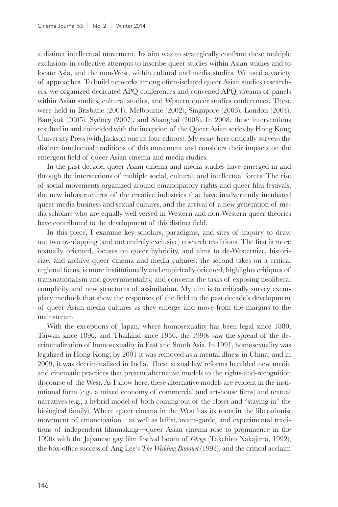a distinct intellectual movement. Its aim was to strategically confront these multiple exclusions in collective attempts to inscribe queer studies within Asian studies and to locate Asia, and the non-West, within cultural and media studies. We used a variety of approaches. To build networks among often-isolated queer Asian studies researchers, we organized dedicated APQ conferences and convened APQ streams of panels within Asian studies, cultural studies, and Western queer studies conferences. These were held in Brisbane (2001), Melbourne (2002), Singapore (2003), London (2004), Bangkok (2005), Sydney (2007), and Shanghai (2008). In 2008, these interventions resulted in and coincided with the inception of the Queer Asian series by Hong Kong University Press (with Jackson one its four editors). My essay here critically surveys the distinct intellectual traditions of this movement and considers their impacts on the emergent field of queer Asian cinema and media studies.

In the past decade, queer Asian cinema and media studies have emerged in and through the intersections of multiple social, cultural, and intellectual forces. The rise of social movements organized around emancipatory rights and queer film festivals, the new infrastructures of the creative industries that have inadvertently incubated queer media business and sexual cultures, and the arrival of a new generation of media scholars who are equally well versed in Western and non-Western queer theories have contributed to the development of this distinct field.

In this piece, I examine key scholars, paradigms, and sites of inquiry to draw out two overlapping (and not entirely exclusive) research traditions. The first is more textually oriented, focuses on queer hybridity, and aims to de-Westernize, historicize, and archive queer cinema and media cultures; the second takes on a critical regional focus, is more institutionally and empirically oriented, highlights critiques of transnationalism and governmentality, and concerns the tasks of exposing neoliberal complicity and new structures of assimilation. My aim is to critically survey exemplary methods that show the responses of the field to the past decade's development of queer Asian media cultures as they emerge and move from the margins to the mainstream.

With the exceptions of Japan, where homosexuality has been legal since 1880, Taiwan since 1896, and Thailand since 1956, the 1990s saw the spread of the decriminalization of homosexuality in East and South Asia. In 1991, homosexuality was legalized in Hong Kong; by 2001 it was removed as a mental illness in China, and in 2009, it was decriminalized in India. These sexual law reforms heralded new media and cinematic practices that present alternative models to the rights-and-recognition discourse of the West. As I show here, these alternative models are evident in the institutional form (e.g., a mixed economy of commercial and art-house films) and textual narratives (e.g., a hybrid model of both coming out of the closet and "staying in" the biological family). Where queer cinema in the West has its roots in the liberationist movement of emancipation—as well as leftist, avant-garde, and experimental traditions of independent filmmaking—queer Asian cinema rose to prominence in the 1990s with the Japanese gay film festival boom of *Okoge* (Takehiro Nakajima, 1992), the box-office success of Ang Lee's *The Wedding Banquet* (1993), and the critical acclaim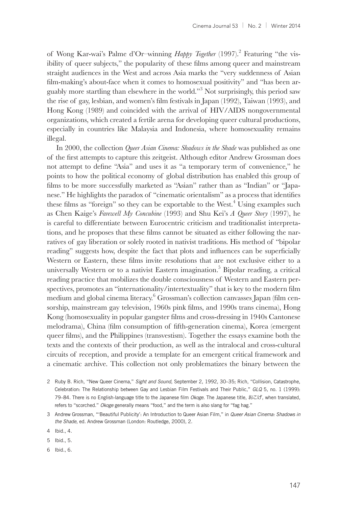of Wong Kar-wai's Palme d'Or-winning *Happy Together* (1997).<sup>2</sup> Featuring "the visibility of queer subjects," the popularity of these films among queer and mainstream straight audiences in the West and across Asia marks the "very suddenness of Asian film-making's about-face when it comes to homosexual positivity" and "has been arguably more startling than elsewhere in the world."<sup>3</sup> Not surprisingly, this period saw the rise of gay, lesbian, and women's film festivals in Japan (1992), Taiwan (1993), and Hong Kong (1989) and coincided with the arrival of HIV/AIDS nongovernmental organizations, which created a fertile arena for developing queer cultural productions, especially in countries like Malaysia and Indonesia, where homosexuality remains illegal.

In 2000, the collection *Queer Asian Cinema: Shadows in the Shade* was published as one of the first attempts to capture this zeitgeist. Although editor Andrew Grossman does not attempt to define "Asia" and uses it as "a temporary term of convenience," he points to how the political economy of global distribution has enabled this group of films to be more successfully marketed as "Asian" rather than as "Indian" or "Japanese." He highlights the paradox of "cinematic orientalism" as a process that identifies these films as "foreign" so they can be exportable to the West.<sup>4</sup> Using examples such as Chen Kaige's *Farewell My Concubine* (1993) and Shu Kei's *A Queer Story* (1997), he is careful to differentiate between Eurocentric criticism and traditionalist interpretations, and he proposes that these films cannot be situated as either following the narratives of gay liberation or solely rooted in nativist traditions. His method of "bipolar reading" suggests how, despite the fact that plots and influences can be superficially Western or Eastern, these films invite resolutions that are not exclusive either to a universally Western or to a nativist Eastern imagination.<sup>5</sup> Bipolar reading, a critical reading practice that mobilizes the double consciousness of Western and Eastern perspectives, promotes an "internationality/intertextuality" that is key to the modern film medium and global cinema literacy.<sup>6</sup> Grossman's collection canvasses Japan (film censorship, mainstream gay television, 1960s pink films, and 1990s trans cinema), Hong Kong (homosexuality in popular gangster films and cross-dressing in 1940s Cantonese melodrama), China (film consumption of fifth-generation cinema), Korea (emergent queer films), and the Philippines (transvestism). Together the essays examine both the texts and the contexts of their production, as well as the intralocal and cross-cultural circuits of reception, and provide a template for an emergent critical framework and a cinematic archive. This collection not only problematizes the binary between the

6 Ibid., 6.

<sup>2</sup> Ruby B. Rich, "New Queer Cinema," *Sight and Sound*, September 2, 1992, 30–35; Rich, "Collision, Catastrophe, Celebration: The Relationship between Gay and Lesbian Film Festivals and Their Public," *GLQ* 5, no. 1 (1999): 79–84. There is no English-language title to the Japanese film *Okoge*. The Japanese title, おこげ, when translated, refers to "scorched." *Okoge* generally means "food," and the term is also slang for "fag hag."

<sup>3</sup> Andrew Grossman, "'Beautiful Publicity': An Introduction to Queer Asian Film," in *Queer Asian Cinema: Shadows in the Shade*, ed. Andrew Grossman (London: Routledge, 2000), 2.

<sup>4</sup> Ibid., 4.

<sup>5</sup> Ibid., 5.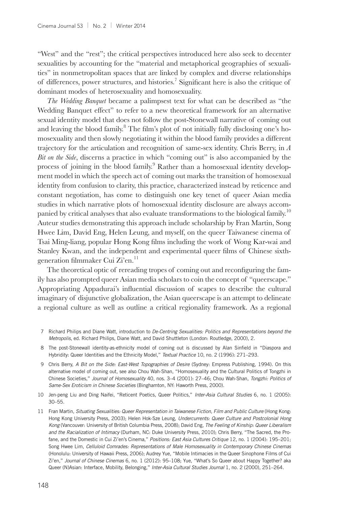"West" and the "rest"; the critical perspectives introduced here also seek to decenter sexualities by accounting for the "material and metaphorical geographies of sexualities" in nonmetropolitan spaces that are linked by complex and diverse relationships of differences, power structures, and histories.<sup>7</sup> Significant here is also the critique of dominant modes of heterosexuality and homosexuality.

*The Wedding Banquet* became a palimpsest text for what can be described as "the Wedding Banquet effect" to refer to a new theoretical framework for an alternative sexual identity model that does not follow the post-Stonewall narrative of coming out and leaving the blood family.<sup>8</sup> The film's plot of not initially fully disclosing one's homosexuality and then slowly negotiating it within the blood family provides a different trajectory for the articulation and recognition of same-sex identity. Chris Berry, in *A Bit on the Side*, discerns a practice in which "coming out" is also accompanied by the process of joining in the blood family.<sup>9</sup> Rather than a homosexual identity development model in which the speech act of coming out marks the transition of homosexual identity from confusion to clarity, this practice, characterized instead by reticence and constant negotiation, has come to distinguish one key tenet of queer Asian media studies in which narrative plots of homosexual identity disclosure are always accompanied by critical analyses that also evaluate transformations to the biological family.<sup>10</sup> Auteur studies demonstrating this approach include scholarship by Fran Martin, Song Hwee Lim, David Eng, Helen Leung, and myself, on the queer Taiwanese cinema of Tsai Ming-liang, popular Hong Kong films including the work of Wong Kar-wai and Stanley Kwan, and the independent and experimental queer films of Chinese sixthgeneration filmmaker Cui Zi'en.<sup>11</sup>

The theoretical optic of rereading tropes of coming out and reconfiguring the family has also prompted queer Asian media scholars to coin the concept of "queerscape." Appropriating Appadurai's influential discussion of scapes to describe the cultural imaginary of disjunctive globalization, the Asian queerscape is an attempt to delineate a regional culture as well as outline a critical regionality framework. As a regional

- 7 Richard Philips and Diane Watt, introduction to *De-Centring Sexualities: Politics and Representations beyond the Metropolis*, ed. Richard Philips, Diane Watt, and David Shuttleton (London: Routledge, 2000), 2.
- 8 The post-Stonewall identity-as-ethnicity model of coming out is discussed by Alan Sinfield in "Diaspora and Hybridity: Queer Identities and the Ethnicity Model," *Textual Practice* 10, no. 2 (1996): 271–293.
- 9 Chris Berry, *A Bit on the Side: East-West Topographies of Desire* (Sydney: Empress Publishing, 1994). On this alternative model of coming out, see also Chou Wah-Shan, "Homosexuality and the Cultural Politics of Tongzhi in Chinese Societies," *Journal of Homosexuality* 40, nos. 3–4 (2001): 27–46; Chou Wah-Shan, *Tongzhi: Politics of Same-Sex Eroticism in Chinese Societies* (Binghamton, NY: Haworth Press, 2000).
- 10 Jen-peng Liu and Ding Naifei, "Reticent Poetics, Queer Politics," *Inter-Asia Cultural Studies* 6, no. 1 (2005): 30–55.
- 11 Fran Martin, *Situating Sexualities: Queer Representation in Taiwanese Fiction, Film and Public Culture* (Hong Kong: Hong Kong University Press, 2003); Helen Hok-Sze Leung, *Undercurrents: Queer Culture and Postcolonial Hong Kong* (Vancouver: University of British Columbia Press, 2008); David Eng, *The Feeling of Kinship: Queer Liberalism and the Racialization of Intimacy* (Durham, NC: Duke University Press, 2010); Chris Berry, "The Sacred, the Profane, and the Domestic in Cui Zi'en's Cinema," *Positions: East Asia Cultures Critique* 12, no. 1 (2004): 195–201; Song Hwee Lim, *Celluloid Comrades: Representations of Male Homosexuality in Contemporary Chinese Cinemas* (Honolulu: University of Hawaii Press, 2006); Audrey Yue, "Mobile Intimacies in the Queer Sinophone Films of Cui Zi'en," *Journal of Chinese Cinemas* 6, no. 1 (2012): 95–108; Yue, "What's So Queer about Happy Together? aka Queer (N)Asian: Interface, Mobility, Belonging," *Inter-Asia Cultural Studies Journal* 1, no. 2 (2000), 251–264.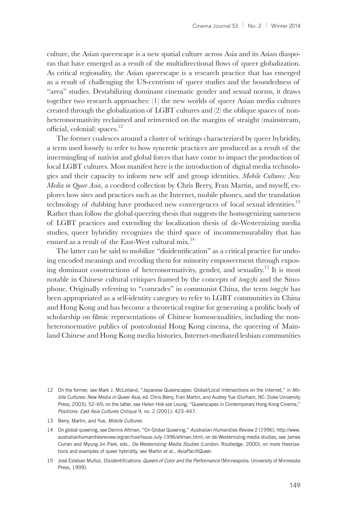culture, the Asian queerscape is a new spatial culture across Asia and its Asian diasporas that have emerged as a result of the multidirectional flows of queer globalization. As critical regionality, the Asian queerscape is a research practice that has emerged as a result of challenging the US-centrism of queer studies and the boundedness of "area" studies. Destabilizing dominant cinematic gender and sexual norms, it draws together two research approaches: (1) the new worlds of queer Asian media cultures created through the globalization of LGBT cultures and (2) the oblique spaces of nonheteronormativity reclaimed and reinvented on the margins of straight (mainstream, official, colonial) spaces. $12$ 

The former coalesces around a cluster of writings characterized by queer hybridity, a term used loosely to refer to how syncretic practices are produced as a result of the intermingling of nativist and global forces that have come to impact the production of local LGBT cultures. Most manifest here is the introduction of digital media technologies and their capacity to inform new self and group identities. *Mobile Cultures: New Media in Queer Asia*, a coedited collection by Chris Berry, Fran Martin, and myself, explores how sites and practices such as the Internet, mobile phones, and the translation technology of dubbing have produced new convergences of local sexual identities.<sup>13</sup> Rather than follow the global queering thesis that suggests the homogenizing sameness of LGBT practices and extending the localization thesis of de-Westernizing media studies, queer hybridity recognizes the third space of incommensurability that has ensued as a result of the East-West cultural mix.14

The latter can be said to mobilize "disidentification" as a critical practice for undoing encoded meanings and recoding them for minority empowerment through exposing dominant constructions of heteronormativity, gender, and sexuality.<sup>15</sup> It is most notable in Chinese cultural critiques framed by the concepts of *tongzhi* and the Sinophone. Originally referring to "comrades" in communist China, the term *tongzhi* has been appropriated as a self-identity category to refer to LGBT communities in China and Hong Kong and has become a theoretical engine for generating a prolific body of scholarship on filmic representations of Chinese homosexualities, including the nonheteronormative publics of postcolonial Hong Kong cinema, the queering of Mainland Chinese and Hong Kong media histories, Internet-mediated lesbian communities

<sup>12</sup> On the former, see Mark J. McLelland, "Japanese Queerscapes: Global/Local Intersections on the Internet," in *Mobile Cultures: New Media in Queer Asia*, ed. Chris Berry, Fran Martin, and Audrey Yue (Durham, NC: Duke University Press, 2003), 52–69; on the latter, see Helen Hok-sze Leung, "Queerscapes in Contemporary Hong Kong Cinema," *Positions: East Asia Cultures Critique* 9, no. 2 (2001): 423–447.

<sup>13</sup> Berry, Martin, and Yue, *Mobile Cultures.*

<sup>14</sup> On global queering, see Dennis Altman, "On Global Queering," *Australian Humanities Review* 2 (1996), http://www. australianhumanitiesreview.org/archive/Issue-July-1996/altman.html; on de-Westernizing media studies, see James Curran and Myung-Jin Park, eds., *De-Westernizing Media Studies* (London: Routledge, 2000); on more theorizations and examples of queer hybridity, see Martin et al., *AsiaPacifiQueer*.

<sup>15</sup> José Esteban Muñoz, *Disidentifications: Queers of Color and the Performance* (Minneapolis: University of Minnesota Press, 1999).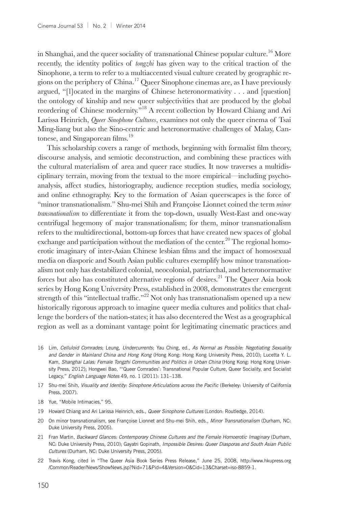in Shanghai, and the queer sociality of transnational Chinese popular culture.<sup>16</sup> More recently, the identity politics of *tongzhi* has given way to the critical traction of the Sinophone, a term to refer to a multiaccented visual culture created by geographic regions on the periphery of China.<sup>17</sup> Queer Sinophone cinemas are, as I have previously argued, "[l]ocated in the margins of Chinese heteronormativity . . . and [question] the ontology of kinship and new queer subjectivities that are produced by the global reordering of Chinese modernity."18 A recent collection by Howard Chiang and Ari Larissa Heinrich, *Queer Sinophone Cultures*, examines not only the queer cinema of Tsai Ming-liang but also the Sino-centric and heteronormative challenges of Malay, Cantonese, and Singaporean films.<sup>19</sup>

This scholarship covers a range of methods, beginning with formalist film theory, discourse analysis, and semiotic deconstruction, and combining these practices with the cultural materialism of area and queer race studies. It now traverses a multidisciplinary terrain, moving from the textual to the more empirical—including psychoanalysis, affect studies, historiography, audience reception studies, media sociology, and online ethnography. Key to the formation of Asian queerscapes is the force of "minor transnationalism." Shu-mei Shih and Françoise Lionnet coined the term *minor transnationalism* to differentiate it from the top-down, usually West-East and one-way centrifugal hegemony of major transnationalism; for them, minor transnationalism refers to the multidirectional, bottom-up forces that have created new spaces of global exchange and participation without the mediation of the center.<sup>20</sup> The regional homoerotic imaginary of inter-Asian Chinese lesbian films and the impact of homosexual media on diasporic and South Asian public cultures exemplify how minor transnationalism not only has destabilized colonial, neocolonial, patriarchal, and heteronormative forces but also has constituted alternative regions of desires.<sup>21</sup> The Queer Asia book series by Hong Kong University Press, established in 2008, demonstrates the emergent strength of this "intellectual traffic."<sup>22</sup> Not only has transnationalism opened up a new historically rigorous approach to imagine queer media cultures and politics that challenge the borders of the nation-states; it has also decentered the West as a geographical region as well as a dominant vantage point for legitimating cinematic practices and

- 16 Lim, *Celluloid Comrades*; Leung, *Undercurrents*; Yau Ching, ed., *As Normal as Possible: Negotiating Sexuality and Gender in Mainland China and Hong Kong* (Hong Kong: Hong Kong University Press, 2010); Lucetta Y. L. Kam, *Shanghai Lalas: Female Tongzhi Communities and Politics in Urban China* (Hong Kong: Hong Kong University Press, 2012); Hongwei Bao, "'Queer Comrades': Transnational Popular Culture, Queer Sociality, and Socialist Legacy," *English Language Notes* 49, no. 1 (2011): 131–138.
- 17 Shu-mei Shih, *Visuality and Identity: Sinophone Articulations across the Pacific* (Berkeley: University of California Press, 2007).
- 18 Yue, "Mobile Intimacies," 95.
- 19 Howard Chiang and Ari Larissa Heinrich, eds., *Queer Sinophone Cultures* (London: Routledge, 2014).
- 20 On minor transnationalism, see Françoise Lionnet and Shu-mei Shih, eds., *Minor Transnationalism* (Durham, NC: Duke University Press, 2005).
- 21 Fran Martin, *Backward Glances: Contemporary Chinese Cultures and the Female Homoerotic Imaginary* (Durham, NC: Duke University Press, 2010); Gayatri Gopinath, *Impossible Desires: Queer Diasporas and South Asian Public Cultures* (Durham, NC: Duke University Press, 2005).
- 22 Travis Kong, cited in "The Queer Asia Book Series Press Release," June 25, 2008, http://www.hkupress.org /Common/Reader/News/ShowNews.jsp?Nid=71&Pid=4&Version=0&Cid=13&Charset=iso-8859-1.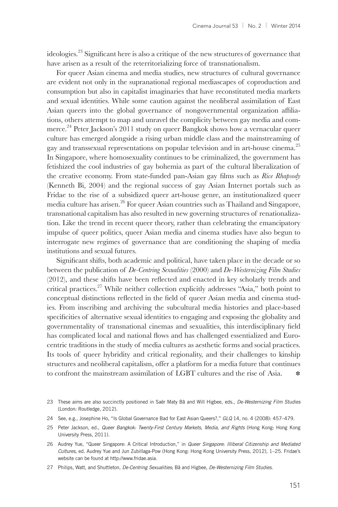ideologies.23 Significant here is also a critique of the new structures of governance that have arisen as a result of the reterritorializing force of transnationalism.

For queer Asian cinema and media studies, new structures of cultural governance are evident not only in the supranational regional mediascapes of coproduction and consumption but also in capitalist imaginaries that have reconstituted media markets and sexual identities. While some caution against the neoliberal assimilation of East Asian queers into the global governance of nongovernmental organization affiliations, others attempt to map and unravel the complicity between gay media and commerce.24 Peter Jackson's 2011 study on queer Bangkok shows how a vernacular queer culture has emerged alongside a rising urban middle class and the mainstreaming of gay and transsexual representations on popular television and in art-house cinema.<sup>25</sup> In Singapore, where homosexuality continues to be criminalized, the government has fetishized the cool industries of gay bohemia as part of the cultural liberalization of the creative economy. From state-funded pan-Asian gay films such as *Rice Rhapsody* (Kenneth Bi, 2004) and the regional success of gay Asian Internet portals such as Fridae to the rise of a subsidized queer art-house genre, an institutionalized queer media culture has arisen.<sup>26</sup> For queer Asian countries such as Thailand and Singapore, transnational capitalism has also resulted in new governing structures of renationalization. Like the trend in recent queer theory, rather than celebrating the emancipatory impulse of queer politics, queer Asian media and cinema studies have also begun to interrogate new regimes of governance that are conditioning the shaping of media institutions and sexual futures.

Significant shifts, both academic and political, have taken place in the decade or so between the publication of *De-Centring Sexualities* (2000) and *De-Westernizing Film Studies* (2012), and these shifts have been reflected and enacted in key scholarly trends and critical practices.<sup>27</sup> While neither collection explicitly addresses "Asia," both point to conceptual distinctions reflected in the field of queer Asian media and cinema studies. From inscribing and archiving the subcultural media histories and place-based specificities of alternative sexual identities to engaging and exposing the globality and governmentality of transnational cinemas and sexualities, this interdisciplinary field has complicated local and national flows and has challenged essentialized and Eurocentric traditions in the study of media cultures as aesthetic forms and social practices. Its tools of queer hybridity and critical regionality, and their challenges to kinship structures and neoliberal capitalism, offer a platform for a media future that continues to confront the mainstream assimilation of LGBT cultures and the rise of Asia.  $\ast$ 

- 24 See, e.g., Josephine Ho, "Is Global Governance Bad for East Asian Queers?," *GLQ* 14, no. 4 (2008): 457–479.
- 25 Peter Jackson, ed., *Queer Bangkok: Twenty-First Century Markets, Media, and Rights* (Hong Kong: Hong Kong University Press, 2011).
- 26 Audrey Yue, "Queer Singapore: A Critical Introduction," in *Queer Singapore*: *Illiberal Citizenship and Mediated Cultures*, ed. Audrey Yue and Jun Zubillaga-Pow (Hong Kong: Hong Kong University Press, 2012), 1–25. Fridae's website can be found at http://www.fridae.asia.
- 27 Philips, Watt, and Shuttleton, *De-Centring Sexualities*; Bâ and Higbee, *De-Westernizing Film Studies.*

<sup>23</sup> These aims are also succinctly positioned in Saër Maty Bâ and Will Higbee, eds., *De-Westernizing Film Studies* (London: Routledge, 2012).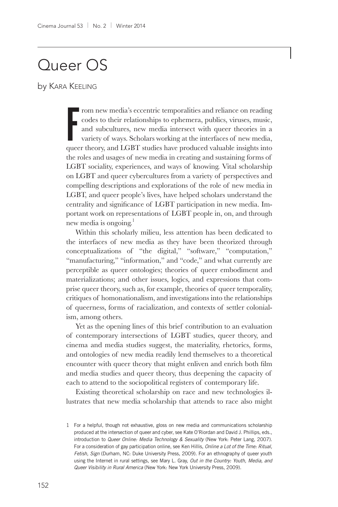#### Queer OS

by Kara Keeling

From new media's eccentric temporalities and reliance on reading<br>codes to their relationships to ephemera, publics, viruses, music,<br>and subcultures, new media intersect with queer theories in a<br>variety of ways. Scholars wo rom new media's eccentric temporalities and reliance on reading codes to their relationships to ephemera, publics, viruses, music, and subcultures, new media intersect with queer theories in a variety of ways. Scholars working at the interfaces of new media, the roles and usages of new media in creating and sustaining forms of LGBT sociality, experiences, and ways of knowing. Vital scholarship on LGBT and queer cybercultures from a variety of perspectives and compelling descriptions and explorations of the role of new media in LGBT, and queer people's lives, have helped scholars understand the centrality and significance of LGBT participation in new media. Important work on representations of LGBT people in, on, and through new media is ongoing.<sup>1</sup>

Within this scholarly milieu, less attention has been dedicated to the interfaces of new media as they have been theorized through conceptualizations of "the digital," "software," "computation," "manufacturing," "information," and "code," and what currently are perceptible as queer ontologies; theories of queer embodiment and materializations; and other issues, logics, and expressions that comprise queer theory, such as, for example, theories of queer temporality, critiques of homonationalism, and investigations into the relationships of queerness, forms of racialization, and contexts of settler colonialism, among others.

Yet as the opening lines of this brief contribution to an evaluation of contemporary intersections of LGBT studies, queer theory, and cinema and media studies suggest, the materiality, rhetorics, forms, and ontologies of new media readily lend themselves to a theoretical encounter with queer theory that might enliven and enrich both film and media studies and queer theory, thus deepening the capacity of each to attend to the sociopolitical registers of contemporary life.

Existing theoretical scholarship on race and new technologies illustrates that new media scholarship that attends to race also might

<sup>1</sup> For a helpful, though not exhaustive, gloss on new media and communications scholarship produced at the intersection of queer and cyber, see Kate O'Riordan and David J. Phillips, eds., introduction to *Queer Online: Media Technology & Sexuality* (New York: Peter Lang, 2007). For a consideration of gay participation online, see Ken Hillis, *Online a Lot of the Time: Ritual, Fetish, Sign* (Durham, NC: Duke University Press, 2009). For an ethnography of queer youth using the Internet in rural settings, see Mary L. Gray, *Out in the Country: Youth, Media, and Queer Visibility in Rural America* (New York: New York University Press, 2009).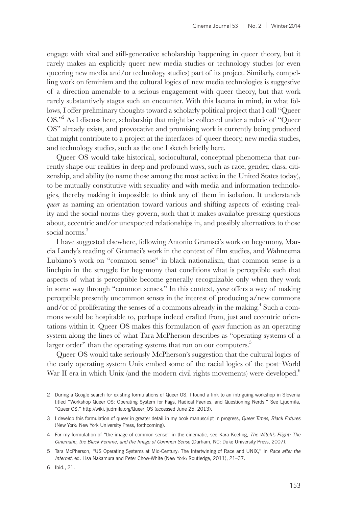engage with vital and still-generative scholarship happening in queer theory, but it rarely makes an explicitly queer new media studies or technology studies (or even queering new media and/or technology studies) part of its project. Similarly, compelling work on feminism and the cultural logics of new media technologies is suggestive of a direction amenable to a serious engagement with queer theory, but that work rarely substantively stages such an encounter. With this lacuna in mind, in what follows, I offer preliminary thoughts toward a scholarly political project that I call "Queer OS."<sup>2</sup> As I discuss here, scholarship that might be collected under a rubric of "Queer OS" already exists, and provocative and promising work is currently being produced that might contribute to a project at the interfaces of queer theory, new media studies, and technology studies, such as the one I sketch briefly here.

Queer OS would take historical, sociocultural, conceptual phenomena that currently shape our realities in deep and profound ways, such as race, gender, class, citizenship, and ability (to name those among the most active in the United States today), to be mutually constitutive with sexuality and with media and information technologies, thereby making it impossible to think any of them in isolation. It understands *queer* as naming an orientation toward various and shifting aspects of existing reality and the social norms they govern, such that it makes available pressing questions about, eccentric and/or unexpected relationships in, and possibly alternatives to those social norms.<sup>3</sup>

I have suggested elsewhere, following Antonio Gramsci's work on hegemony, Marcia Landy's reading of Gramsci's work in the context of film studies, and Wahneema Lubiano's work on "common sense" in black nationalism, that common sense is a linchpin in the struggle for hegemony that conditions what is perceptible such that aspects of what is perceptible become generally recognizable only when they work in some way through "common senses." In this context, *queer* offers a way of making perceptible presently uncommon senses in the interest of producing a/new commons and/or of proliferating the senses of a commons already in the making.<sup>4</sup> Such a commons would be hospitable to, perhaps indeed crafted from, just and eccentric orientations within it. Queer OS makes this formulation of *queer* function as an operating system along the lines of what Tara McPherson describes as "operating systems of a larger order" than the operating systems that run on our computers.<sup>5</sup>

Queer OS would take seriously McPherson's suggestion that the cultural logics of the early operating system Unix embed some of the racial logics of the post–World War II era in which Unix (and the modern civil rights movements) were developed.<sup>6</sup>

6 Ibid., 21.

<sup>2</sup> During a Google search for existing formulations of Queer OS, I found a link to an intriguing workshop in Slovenia titled "Workshop Queer OS: Operating System for Fags, Radical Faeries, and Questioning Nerds." See Ljudmila, "Queer OS," http://wiki.ljudmila.org/Queer\_OS (accessed June 25, 2013).

<sup>3</sup> I develop this formulation of queer in greater detail in my book manuscript in progress, *Queer Times, Black Futures*  (New York: New York University Press, forthcoming).

<sup>4</sup> For my formulation of "the image of common sense" in the cinematic, see Kara Keeling, *The Witch's Flight: The Cinematic, the Black Femme, and the Image of Common Sense* (Durham, NC: Duke University Press, 2007).

<sup>5</sup> Tara McPherson, "US Operating Systems at Mid-Century: The Intertwining of Race and UNIX," in *Race after the Internet*, ed. Lisa Nakamura and Peter Chow-White (New York: Routledge, 2011), 21–37.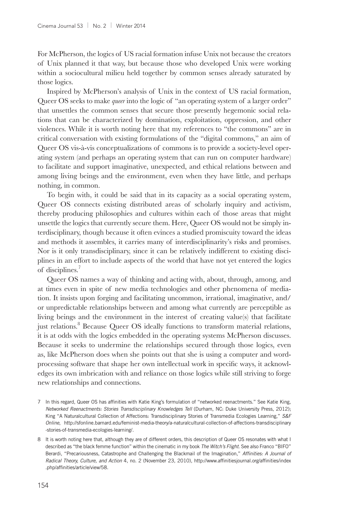For McPherson, the logics of US racial formation infuse Unix not because the creators of Unix planned it that way, but because those who developed Unix were working within a sociocultural milieu held together by common senses already saturated by those logics.

Inspired by McPherson's analysis of Unix in the context of US racial formation, Queer OS seeks to make *queer* into the logic of "an operating system of a larger order" that unsettles the common senses that secure those presently hegemonic social relations that can be characterized by domination, exploitation, oppression, and other violences. While it is worth noting here that my references to "the commons" are in critical conversation with existing formulations of the "digital commons," an aim of Queer OS vis-à-vis conceptualizations of commons is to provide a society-level operating system (and perhaps an operating system that can run on computer hardware) to facilitate and support imaginative, unexpected, and ethical relations between and among living beings and the environment, even when they have little, and perhaps nothing, in common.

To begin with, it could be said that in its capacity as a social operating system, Queer OS connects existing distributed areas of scholarly inquiry and activism, thereby producing philosophies and cultures within each of those areas that might unsettle the logics that currently secure them. Here, Queer OS would not be simply interdisciplinary, though because it often evinces a studied promiscuity toward the ideas and methods it assembles, it carries many of interdisciplinarity's risks and promises. Nor is it only transdisciplinary, since it can be relatively indifferent to existing disciplines in an effort to include aspects of the world that have not yet entered the logics of disciplines.<sup>7</sup>

Queer OS names a way of thinking and acting with, about, through, among, and at times even in spite of new media technologies and other phenomena of mediation. It insists upon forging and facilitating uncommon, irrational, imaginative, and/ or unpredictable relationships between and among what currently are perceptible as living beings and the environment in the interest of creating value(s) that facilitate just relations.<sup>8</sup> Because Queer OS ideally functions to transform material relations, it is at odds with the logics embedded in the operating systems McPherson discusses. Because it seeks to undermine the relationships secured through those logics, even as, like McPherson does when she points out that she is using a computer and wordprocessing software that shape her own intellectual work in specific ways, it acknowledges its own imbrication with and reliance on those logics while still striving to forge new relationships and connections.

<sup>7</sup> In this regard, Queer OS has affinities with Katie King's formulation of "networked reenactments." See Katie King, *Networked Reenactments: Stories Transdisciplinary Knowledges Tell (Durham, NC: Duke University Press, 2012);* King "A Naturalcultural Collection of Affections: Transdisciplinary Stories of Transmedia Ecologies Learning," *S&F Online*, http://sfonline.barnard.edu/feminist-media-theory/a-naturalcultural-collection-of-affections-transdisciplinary -stories-of-transmedia-ecologies-learning/.

<sup>8</sup> It is worth noting here that, although they are of different orders, this description of Queer OS resonates with what I described as "the black femme function" within the cinematic in my book *The Witch's Flight*. See also Franco "BIFO" Berardi, "Precariousness, Catastrophe and Challenging the Blackmail of the Imagination," *Affinities: A Journal of Radical Theory, Culture, and Action* 4, no. 2 (November 23, 2010), http://www.affinitiesjournal.org/affinities/index .php/affinities/article/view/58.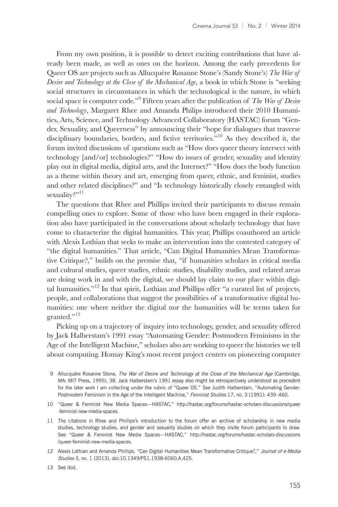From my own position, it is possible to detect exciting contributions that have already been made, as well as ones on the horizon. Among the early precedents for Queer OS are projects such as Allucquére Rosanne Stone's (Sandy Stone's) *The War of Desire and Technology at the Close of the Mechanical Age*, a book in which Stone is "seeking social structures in circumstances in which the technological is the nature, in which social space is computer code."<sup>9</sup> Fifteen years after the publication of *The War of Desire and Technology*, Margaret Rhee and Amanda Philips introduced their 2010 Humanities, Arts, Science, and Technology Advanced Collaboratory (HASTAC) forum "Gender, Sexuality, and Queerness" by announcing their "hope for dialogues that traverse disciplinary boundaries, borders, and fictive territories.<sup>"10</sup> As they described it, the forum invited discussions of questions such as "How does queer theory intersect with technology [and/or] technologies?" "How do issues of gender, sexuality and identity play out in digital media, digital arts, and the Internet?" "How does the body function as a theme within theory and art, emerging from queer, ethnic, and feminist, studies and other related disciplines?" and "Is technology historically closely entangled with sexuality?"<sup>11</sup>

The questions that Rhee and Phillips invited their participants to discuss remain compelling ones to explore. Some of those who have been engaged in their exploration also have participated in the conversations about scholarly technology that have come to characterize the digital humanities. This year, Phillips coauthored an article with Alexis Lothian that seeks to make an intervention into the contested category of "the digital humanities." That article, "Can Digital Humanities Mean Transformative Critique?," builds on the premise that, "if humanities scholars in critical media and cultural studies, queer studies, ethnic studies, disability studies, and related areas are doing work in and with the digital, we should lay claim to our place within digital humanities."<sup>12</sup> In that spirit, Lothian and Phillips offer "a curated list of projects, people, and collaborations that suggest the possibilities of a transformative digital humanities: one where neither the digital nor the humanities will be terms taken for granted."<sup>13</sup>

Picking up on a trajectory of inquiry into technology, gender, and sexuality offered by Jack Halberstam's 1991 essay "Automating Gender: Postmodern Feminisms in the Age of the Intelligent Machine," scholars also are working to queer the histories we tell about computing. Homay King's most recent project centers on pioneering computer

- 9 Allucquére Rosanne Stone, *The War of Desire and Technology at the Close of the Mechanical Age* (Cambridge, MA: MIT Press, 1995), 38. Jack Halberstam's 1991 essay also might be retrospectively understood as precedent for the later work I am collecting under the rubric of "Queer OS." See Judith Halberstam, "Automating Gender: Postmodern Feminism in the Age of the Intelligent Machine," *Feminist Studies* 17, no. 3 (1991): 439–460.
- 10 "Queer & Feminist New Media Spaces—HASTAC," http://hastac.org/forums/hastac-scholars-discussions/queer -feminist-new-media-spaces.
- 11 The citations in Rhee and Phillips's introduction to the forum offer an archive of scholarship in new media studies, technology studies, and gender and sexuality studies on which they invite forum participants to draw. See "Queer & Feminist New Media Spaces—HASTAC," http://hastac.org/forums/hastac-scholars-discussions /queer-feminist-new-media-spaces.
- 12 Alexis Lothian and Amanda Phillips, "Can Digital Humanities Mean Transformative Critique?," *Journal of e-Media Studies* 3, no. 1 (2013), doi:10.1349/PS1.1938-6060.A.425.
- 13 See ibid.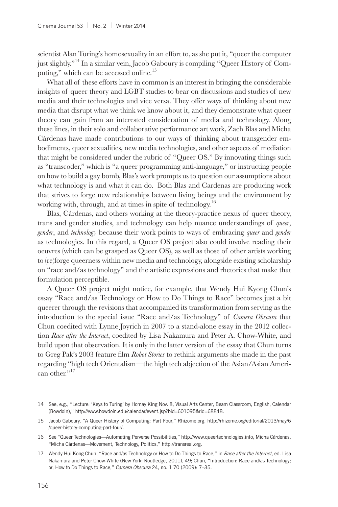scientist Alan Turing's homosexuality in an effort to, as she put it, "queer the computer just slightly."<sup>14</sup> In a similar vein, Jacob Gaboury is compiling "Queer History of Computing," which can be accessed online.<sup>15</sup>

What all of these efforts have in common is an interest in bringing the considerable insights of queer theory and LGBT studies to bear on discussions and studies of new media and their technologies and vice versa. They offer ways of thinking about new media that disrupt what we think we know about it, and they demonstrate what queer theory can gain from an interested consideration of media and technology. Along these lines, in their solo and collaborative performance art work, Zach Blas and Micha Cárdenas have made contributions to our ways of thinking about transgender embodiments, queer sexualities, new media technologies, and other aspects of mediation that might be considered under the rubric of "Queer OS." By innovating things such as "transcoder," which is "a queer programming anti-language," or instructing people on how to build a gay bomb, Blas's work prompts us to question our assumptions about what technology is and what it can do. Both Blas and Cardenas are producing work that strives to forge new relationships between living beings and the environment by working with, through, and at times in spite of technology.<sup>16</sup>

Blas, Cárdenas, and others working at the theory-practice nexus of queer theory, trans and gender studies, and technology can help nuance understandings of *queer*, *gender*, and *technology* because their work points to ways of embracing *queer* and *gender* as technologies. In this regard, a Queer OS project also could involve reading their oeuvres (which can be grasped as Queer OS), as well as those of other artists working to (re)forge queerness within new media and technology, alongside existing scholarship on "race and/as technology" and the artistic expressions and rhetorics that make that formulation perceptible.

A Queer OS project might notice, for example, that Wendy Hui Kyong Chun's essay "Race and/as Technology or How to Do Things to Race" becomes just a bit queerer through the revisions that accompanied its transformation from serving as the introduction to the special issue "Race and/as Technology" of *Camera Obscura* that Chun coedited with Lynne Joyrich in 2007 to a stand-alone essay in the 2012 collection *Race after the Internet*, coedited by Lisa Nakamura and Peter A. Chow-White, and build upon that observation. It is only in the latter version of the essay that Chun turns to Greg Pak's 2003 feature film *Robot Stories* to rethink arguments she made in the past regarding "high tech Orientalism—the high tech abjection of the Asian/Asian American other."<sup>17</sup>

<sup>14</sup> See, e.g., "Lecture: 'Keys to Turing' by Homay King Nov. 8, Visual Arts Center, Beam Classroom, English, Calendar (Bowdoin)," http://www.bowdoin.edu/calendar/event.jsp?bid=601095&rid=68848.

<sup>15</sup> Jacob Gaboury, "A Queer History of Computing: Part Four," Rhizome.org, http://rhizome.org/editorial/2013/may/6 /queer-history-computing-part-four/.

<sup>16</sup> See "Queer Technologies—Automating Perverse Possibilities," http://www.queertechnologies.info; Micha Cárdenas, "Micha Cárdenas—Movement, Technology, Politics," http://transreal.org.

<sup>17</sup> Wendy Hui Kong Chun, "Race and/as Technology or How to Do Things to Race," in *Race after the Internet*, ed. Lisa Nakamura and Peter Chow-White (New York: Routledge, 2011), 49; Chun, "Introduction: Race and/as Technology; or, How to Do Things to Race," *Camera Obscura* 24, no. 1 70 (2009): 7–35.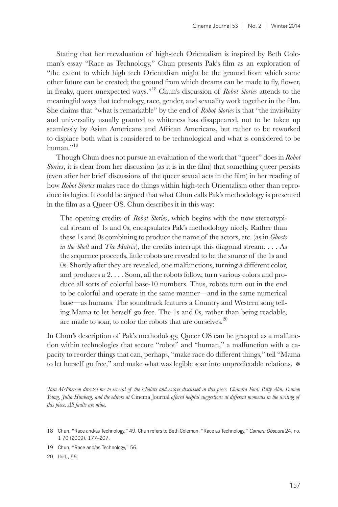Stating that her reevaluation of high-tech Orientalism is inspired by Beth Coleman's essay "Race as Technology," Chun presents Pak's film as an exploration of "the extent to which high tech Orientalism might be the ground from which some other future can be created; the ground from which dreams can be made to fly, flower, in freaky, queer unexpected ways."18 Chun's discussion of *Robot Stories* attends to the meaningful ways that technology, race, gender, and sexuality work together in the film. She claims that "what is remarkable" by the end of *Robot Stories* is that "the invisibility and universality usually granted to whiteness has disappeared, not to be taken up seamlessly by Asian Americans and African Americans, but rather to be reworked to displace both what is considered to be technological and what is considered to be human." $^{19}$ 

Though Chun does not pursue an evaluation of the work that "queer" does in *Robot Stories*, it is clear from her discussion (as it is in the film) that something queer persists (even after her brief discussions of the queer sexual acts in the film) in her reading of how *Robot Stories* makes race do things within high-tech Orientalism other than reproduce its logics. It could be argued that what Chun calls Pak's methodology is presented in the film as a Queer OS. Chun describes it in this way:

The opening credits of *Robot Stories*, which begins with the now stereotypical stream of 1s and 0s, encapsulates Pak's methodology nicely. Rather than these 1s and 0s combining to produce the name of the actors, etc. (as in *Ghosts in the Shell* and *The Matrix*), the credits interrupt this diagonal stream. . . . As the sequence proceeds, little robots are revealed to be the source of the 1s and 0s. Shortly after they are revealed, one malfunctions, turning a different color, and produces a 2. . . . Soon, all the robots follow, turn various colors and produce all sorts of colorful base-10 numbers. Thus, robots turn out in the end to be colorful and operate in the same manner—and in the same numerical base—as humans. The soundtrack features a Country and Western song telling Mama to let herself go free. The 1s and 0s, rather than being readable, are made to soar, to color the robots that are ourselves.<sup>20</sup>

In Chun's description of Pak's methodology, Queer OS can be grasped as a malfunction within technologies that secure "robot" and "human," a malfunction with a capacity to reorder things that can, perhaps, "make race do different things," tell "Mama to let herself go free," and make what was legible soar into unpredictable relations.  $*$ 

*Tara McPherson directed me to several of the scholars and essays discussed in this piece. Chandra Ford, Patty Ahn, Damon Young, Julia Himberg, and the editors at* Cinema Journal *offered helpful suggestions at different moments in the writing of this piece. All faults are mine.*

- 19 Chun, "Race and/as Technology," 56.
- 20 Ibid., 56.

<sup>18</sup> Chun, "Race and/as Technology," 49. Chun refers to Beth Coleman, "Race as Technology," *Camera Obscura* 24, no. 1 70 (2009): 177–207.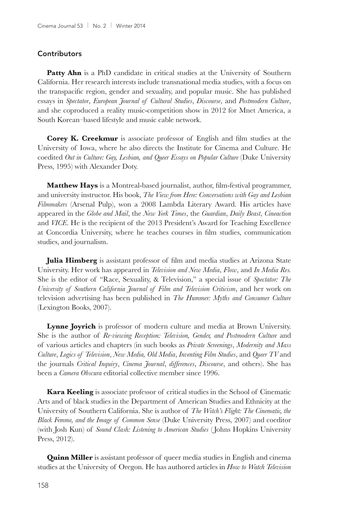#### **Contributors**

Patty Ahn is a PhD candidate in critical studies at the University of Southern California. Her research interests include transnational media studies, with a focus on the transpacific region, gender and sexuality, and popular music. She has published essays in *Spectator*, *European Journal of Cultural Studies*, *Discourse*, and *Postmodern Culture*, and she coproduced a reality music-competition show in 2012 for Mnet America, a South Korean–based lifestyle and music cable network.

**Corey K. Creekmur** is associate professor of English and film studies at the University of Iowa, where he also directs the Institute for Cinema and Culture. He coedited Out in Culture: Gay, Lesbian, and Queer Essays on Popular Culture (Duke University Press, 1995) with Alexander Doty.

**Matthew Hays** is a Montreal-based journalist, author, film-festival programmer, and university instructor. His book, *The View from Here: Conversations with Gay and Lesbian Filmmakers* (Arsenal Pulp), won a 2008 Lambda Literary Award. His articles have appeared in the *Globe and Mail*, the *New York Times*, the *Guardian*, *Daily Beast*, *Cineaction*  and *VICE*. He is the recipient of the 2013 President's Award for Teaching Excellence at Concordia University, where he teaches courses in film studies, communication studies, and journalism.

**Julia Himberg** is assistant professor of film and media studies at Arizona State University. Her work has appeared in *Television and New Media*, *Flow*, and *In Media Res.*  She is the editor of "Race, Sexuality, & Television," a special issue of *Spectator: The University of Southern California Journal of Film and Television Criticism*, and her work on television advertising has been published in *The Hummer: Myths and Consumer Culture* (Lexington Books, 2007).

**Lynne Joyrich** is professor of modern culture and media at Brown University. She is the author of *Re-viewing Reception: Television, Gender, and Postmodern Culture* and of various articles and chapters (in such books as *Private Screenings*, *Modernity and Mass Culture*, *Logics of Television*, *New Media, Old Media*, *Inventing Film Studies*, and *Queer TV* and the journals *Critical Inquiry*, *Cinema Journal*, *differences*, *Discourse*, and others). She has been a *Camera Obscura* editorial collective member since 1996.

**Kara Keeling** is associate professor of critical studies in the School of Cinematic Arts and of black studies in the Department of American Studies and Ethnicity at the University of Southern California. She is author of *The Witch's Flight: The Cinematic, the Black Femme, and the Image of Common Sense* (Duke University Press, 2007) and coeditor (with Josh Kun) of *Sound Clash: Listening to American Studies* ( Johns Hopkins University Press, 2012).

**Quinn Miller** is assistant professor of queer media studies in English and cinema studies at the University of Oregon. He has authored articles in *How to Watch Television*